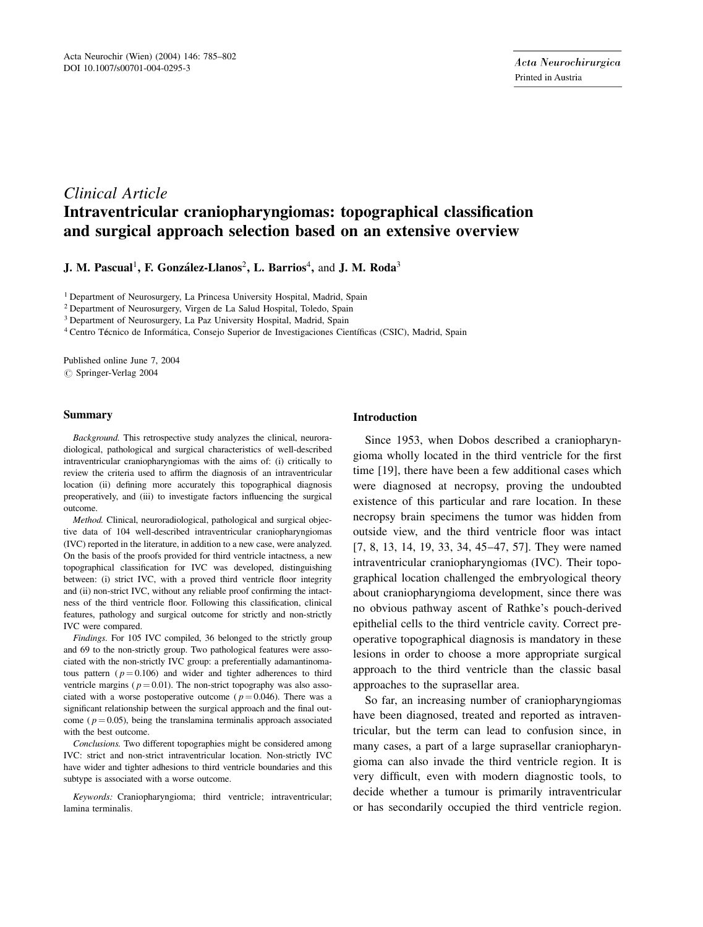Acta Neurochirurgica Printed in Austria

# Clinical Article Intraventricular craniopharyngiomas: topographical classification and surgical approach selection based on an extensive overview

J. M. Pascual<sup>1</sup>, F. González-Llanos<sup>2</sup>, L. Barrios<sup>4</sup>, and J. M. Roda<sup>3</sup>

<sup>1</sup> Department of Neurosurgery, La Princesa University Hospital, Madrid, Spain

<sup>2</sup> Department of Neurosurgery, Virgen de La Salud Hospital, Toledo, Spain

<sup>3</sup> Department of Neurosurgery, La Paz University Hospital, Madrid, Spain

<sup>4</sup> Centro Técnico de Informática, Consejo Superior de Investigaciones Científicas (CSIC), Madrid, Spain

Published online June 7, 2004 *#* Springer-Verlag 2004

#### Summary

Background. This retrospective study analyzes the clinical, neuroradiological, pathological and surgical characteristics of well-described intraventricular craniopharyngiomas with the aims of: (i) critically to review the criteria used to affirm the diagnosis of an intraventricular location (ii) defining more accurately this topographical diagnosis preoperatively, and (iii) to investigate factors influencing the surgical outcome.

Method. Clinical, neuroradiological, pathological and surgical objective data of 104 well-described intraventricular craniopharyngiomas (IVC) reported in the literature, in addition to a new case, were analyzed. On the basis of the proofs provided for third ventricle intactness, a new topographical classification for IVC was developed, distinguishing between: (i) strict IVC, with a proved third ventricle floor integrity and (ii) non-strict IVC, without any reliable proof confirming the intactness of the third ventricle floor. Following this classification, clinical features, pathology and surgical outcome for strictly and non-strictly IVC were compared.

Findings. For 105 IVC compiled, 36 belonged to the strictly group and 69 to the non-strictly group. Two pathological features were associated with the non-strictly IVC group: a preferentially adamantinomatous pattern ( $p = 0.106$ ) and wider and tighter adherences to third ventricle margins ( $p = 0.01$ ). The non-strict topography was also associated with a worse postoperative outcome ( $p = 0.046$ ). There was a significant relationship between the surgical approach and the final outcome ( $p = 0.05$ ), being the translamina terminalis approach associated with the best outcome.

Conclusions. Two different topographies might be considered among IVC: strict and non-strict intraventricular location. Non-strictly IVC have wider and tighter adhesions to third ventricle boundaries and this subtype is associated with a worse outcome.

Keywords: Craniopharyngioma; third ventricle; intraventricular; lamina terminalis.

### Introduction

Since 1953, when Dobos described a craniopharyngioma wholly located in the third ventricle for the first time [19], there have been a few additional cases which were diagnosed at necropsy, proving the undoubted existence of this particular and rare location. In these necropsy brain specimens the tumor was hidden from outside view, and the third ventricle floor was intact [7, 8, 13, 14, 19, 33, 34, 45–47, 57]. They were named intraventricular craniopharyngiomas (IVC). Their topographical location challenged the embryological theory about craniopharyngioma development, since there was no obvious pathway ascent of Rathke's pouch-derived epithelial cells to the third ventricle cavity. Correct preoperative topographical diagnosis is mandatory in these lesions in order to choose a more appropriate surgical approach to the third ventricle than the classic basal approaches to the suprasellar area.

So far, an increasing number of craniopharyngiomas have been diagnosed, treated and reported as intraventricular, but the term can lead to confusion since, in many cases, a part of a large suprasellar craniopharyngioma can also invade the third ventricle region. It is very difficult, even with modern diagnostic tools, to decide whether a tumour is primarily intraventricular or has secondarily occupied the third ventricle region.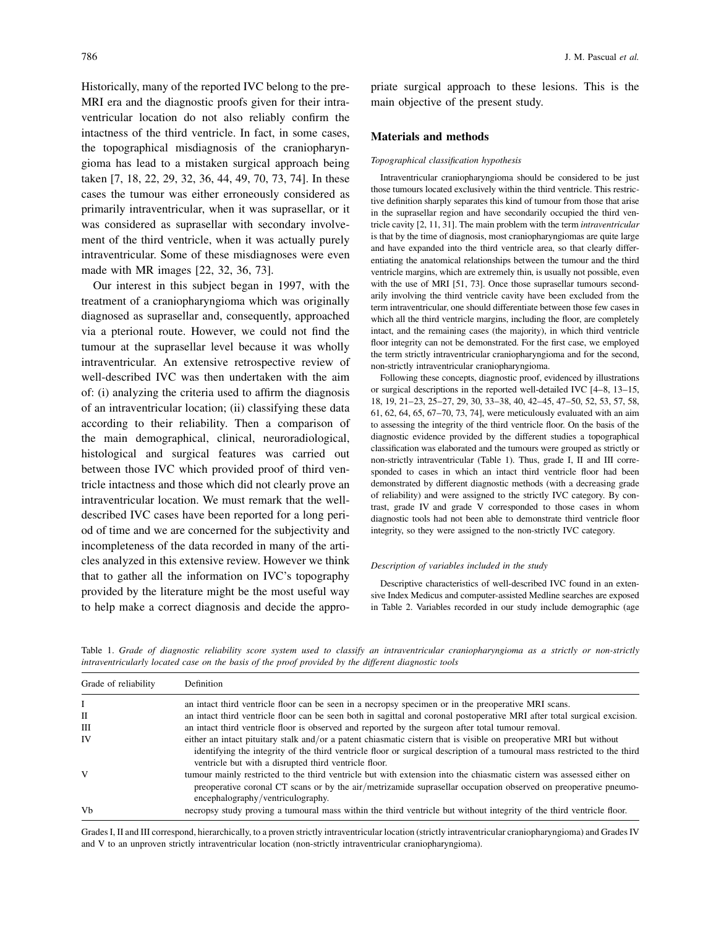Historically, many of the reported IVC belong to the pre-MRI era and the diagnostic proofs given for their intraventricular location do not also reliably confirm the intactness of the third ventricle. In fact, in some cases, the topographical misdiagnosis of the craniopharyngioma has lead to a mistaken surgical approach being taken [7, 18, 22, 29, 32, 36, 44, 49, 70, 73, 74]. In these cases the tumour was either erroneously considered as primarily intraventricular, when it was suprasellar, or it was considered as suprasellar with secondary involvement of the third ventricle, when it was actually purely intraventricular. Some of these misdiagnoses were even made with MR images [22, 32, 36, 73].

Our interest in this subject began in 1997, with the treatment of a craniopharyngioma which was originally diagnosed as suprasellar and, consequently, approached via a pterional route. However, we could not find the tumour at the suprasellar level because it was wholly intraventricular. An extensive retrospective review of well-described IVC was then undertaken with the aim of: (i) analyzing the criteria used to affirm the diagnosis of an intraventricular location; (ii) classifying these data according to their reliability. Then a comparison of the main demographical, clinical, neuroradiological, histological and surgical features was carried out between those IVC which provided proof of third ventricle intactness and those which did not clearly prove an intraventricular location. We must remark that the welldescribed IVC cases have been reported for a long period of time and we are concerned for the subjectivity and incompleteness of the data recorded in many of the articles analyzed in this extensive review. However we think that to gather all the information on IVC's topography provided by the literature might be the most useful way to help make a correct diagnosis and decide the appro-

Grade of reliability Definition

priate surgical approach to these lesions. This is the main objective of the present study.

#### Materials and methods

#### Topographical classification hypothesis

Intraventricular craniopharyngioma should be considered to be just those tumours located exclusively within the third ventricle. This restrictive definition sharply separates this kind of tumour from those that arise in the suprasellar region and have secondarily occupied the third ventricle cavity [2, 11, 31]. The main problem with the term intraventricular is that by the time of diagnosis, most craniopharyngiomas are quite large and have expanded into the third ventricle area, so that clearly differentiating the anatomical relationships between the tumour and the third ventricle margins, which are extremely thin, is usually not possible, even with the use of MRI [51, 73]. Once those suprasellar tumours secondarily involving the third ventricle cavity have been excluded from the term intraventricular, one should differentiate between those few cases in which all the third ventricle margins, including the floor, are completely intact, and the remaining cases (the majority), in which third ventricle floor integrity can not be demonstrated. For the first case, we employed the term strictly intraventricular craniopharyngioma and for the second, non-strictly intraventricular craniopharyngioma.

Following these concepts, diagnostic proof, evidenced by illustrations or surgical descriptions in the reported well-detailed IVC [4–8, 13–15, 18, 19, 21–23, 25–27, 29, 30, 33–38, 40, 42–45, 47–50, 52, 53, 57, 58, 61, 62, 64, 65, 67–70, 73, 74], were meticulously evaluated with an aim to assessing the integrity of the third ventricle floor. On the basis of the diagnostic evidence provided by the different studies a topographical classification was elaborated and the tumours were grouped as strictly or non-strictly intraventricular (Table 1). Thus, grade I, II and III corresponded to cases in which an intact third ventricle floor had been demonstrated by different diagnostic methods (with a decreasing grade of reliability) and were assigned to the strictly IVC category. By contrast, grade IV and grade V corresponded to those cases in whom diagnostic tools had not been able to demonstrate third ventricle floor integrity, so they were assigned to the non-strictly IVC category.

#### Description of variables included in the study

Descriptive characteristics of well-described IVC found in an extensive Index Medicus and computer-assisted Medline searches are exposed in Table 2. Variables recorded in our study include demographic (age

Table 1. Grade of diagnostic reliability score system used to classify an intraventricular craniopharyngioma as a strictly or non-strictly intraventricularly located case on the basis of the proof provided by the different diagnostic tools

| Grauc or remaining | Pummu                                                                                                                                                                                                                                                                                                     |
|--------------------|-----------------------------------------------------------------------------------------------------------------------------------------------------------------------------------------------------------------------------------------------------------------------------------------------------------|
|                    | an intact third ventricle floor can be seen in a necropsy specimen or in the preoperative MRI scans.                                                                                                                                                                                                      |
| П                  | an intact third ventricle floor can be seen both in sagittal and coronal postoperative MRI after total surgical excision.                                                                                                                                                                                 |
| Ш                  | an intact third ventricle floor is observed and reported by the surgeon after total tumour removal.                                                                                                                                                                                                       |
| IV                 | either an intact pituitary stalk and/or a patent chiasmatic cistern that is visible on preoperative MRI but without<br>identifying the integrity of the third ventricle floor or surgical description of a tumoural mass restricted to the third<br>ventricle but with a disrupted third ventricle floor. |
| V                  | tumour mainly restricted to the third ventricle but with extension into the chiasmatic cistern was assessed either on<br>preoperative coronal CT scans or by the air/metrizamide suprasellar occupation observed on preoperative pneumo-<br>encephalography/ventriculography.                             |
| Vh                 | necropsy study proving a tumoural mass within the third ventricle but without integrity of the third ventricle floor.                                                                                                                                                                                     |

Grades I, II and III correspond, hierarchically, to a proven strictly intraventricular location (strictly intraventricular craniopharyngioma) and Grades IV and V to an unproven strictly intraventricular location (non-strictly intraventricular craniopharyngioma).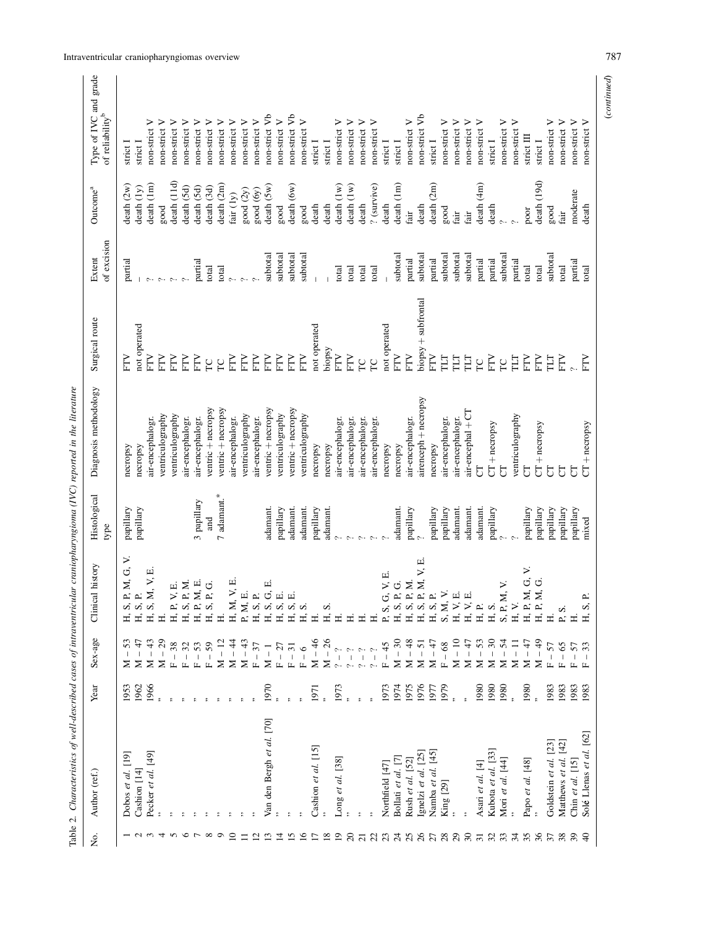|                           | Table 2. Characteristics of well-described cases of intraventricular craniopharyngioma (IVC) reported in the literature |      |                                             |                                    |                                               |                       |                                |                       |                      |                                             |
|---------------------------|-------------------------------------------------------------------------------------------------------------------------|------|---------------------------------------------|------------------------------------|-----------------------------------------------|-----------------------|--------------------------------|-----------------------|----------------------|---------------------------------------------|
| Σó.                       | Author (ref.)                                                                                                           | Year | Sex-age                                     | Clinical history                   | Histological<br>type                          | Diagnosis methodology | Surgical route                 | of excision<br>Extent | Outcome <sup>a</sup> | Type of IVC and grade<br>of reliability $b$ |
|                           | Dobos et al. [19]                                                                                                       | 1953 | 53<br>≍                                     | >.<br>P, M, G,<br>P.<br>S<br>H,    | papillary                                     | necropsy              | FTV                            | partial               | death $(2w)$         | strict I                                    |
|                           | Cashion [14]                                                                                                            | 1962 | $\ddot{t}$<br>$\overline{\phantom{a}}$<br>Σ | α α<br>H.                          | papillary                                     | recropsy              | not operated                   |                       | $\text{44}$ (1y)     | strict I                                    |
| $\omega$                  | Pecker et al. [49]                                                                                                      | 1966 | 43<br>$\overline{M}$ .                      | M, V, E.<br>H,                     |                                               | air-encephalogr.      | È                              |                       | death (1m)           | ⋗<br>non-strict                             |
| 4                         |                                                                                                                         |      | $\mathbf{M}-29$                             | 뵤                                  |                                               | ventriculography      | FTV                            |                       | good                 | non-strict V                                |
| S                         |                                                                                                                         |      | $-38$<br>$\mathbf{L}$                       |                                    |                                               | ventriculography      | FTV                            |                       | death (11d)          | non-strict V                                |
| $\circ$                   |                                                                                                                         |      | $-32$<br>$\mathbb{L}$                       | $\rm V.E.$ P. M.<br>H. B.<br>H. S. |                                               | air-encephalogr.      | FTV                            |                       | death (5d)           | non-strict V                                |
| ↽                         |                                                                                                                         |      | $-53$<br>$\mathbb{L}$                       | M, E.                              | papillary<br>$\epsilon$                       | air-encephalogr.      | FTV                            | partial               | death (5d)           | non-strict V                                |
| $^{\circ}$                |                                                                                                                         |      | $-59$<br>$\mathbb{L}$                       | P, G.<br>$H$ $S$ , $H$ $S$ , $\,$  | $\overline{a}$                                | ventric + necropsy    | PC                             | total                 | death (3d)           | non-strict $V$                              |
| $\circ$                   |                                                                                                                         |      | $M - 12$                                    | Ħ                                  | $\operatorname{adamant.}^*$<br>$\overline{a}$ | ventric + necropsy    | Ľ                              | total                 | death (2m)           | non-strict V                                |
| ⊇                         |                                                                                                                         |      | $M - 44$                                    | V, E.<br>H, M,                     |                                               | air-encephalogr.      | FTV                            |                       | fair $(1y)$          | non-strict V                                |
|                           |                                                                                                                         |      | $-43$<br>$\geq$                             | $\boldsymbol{\omega}$              |                                               | ventriculography      | FTV                            |                       | good(2y)             | non-strict $V$                              |
| $\overline{\mathfrak{c}}$ |                                                                                                                         |      | ${\rm F}$ – $37$                            | р<br>С. Е.                         |                                               | air-encephalogr.      | FTV                            |                       | good (6y)            | non-strict V                                |
| $\mathbf{r}$              | Van den Bergh et al. [70]                                                                                               | 1970 | $M - 1$                                     | M ということ M とははは                     | adamant                                       | ventric + necropsy    | FTV                            | subtotal              | death (5w)           | non-strict Vb                               |
| $\overline{4}$            |                                                                                                                         |      | $-27$<br>$\mathbf{L}$                       | ங்ங்                               | papillary                                     | ventriculography      | FTV                            | subtotal              | good                 | non-strict ${\bf V}$                        |
| $\overline{15}$           |                                                                                                                         |      | $-31$<br>$\mathbf{L}$                       |                                    | adamant.                                      | ventric + necropsy    | FTV                            | subtotal              | death (6w)           | non-strict Vb                               |
| $\overline{16}$           |                                                                                                                         |      | $-6$<br>$\mathbb{L}$                        |                                    | adamant.                                      | ventriculography      | EY                             | subtotal              | good                 | non-strict ${\bf V}$                        |
| $\overline{a}$            | Cashion et al. [15]                                                                                                     | 1971 | $M - 46$                                    | H.                                 | papillary                                     | recropsy              | not operated                   |                       | death                | strict I                                    |
| $\overline{18}$           |                                                                                                                         |      | $M -$                                       | S<br>H,                            | adamant.                                      | necropsy              | biopsy                         |                       | death                | strict I                                    |
| $\overline{19}$           | Long et al. [38]                                                                                                        | 1973 | $\sim$                                      | 보                                  |                                               | air-encephalogr.      | FTV                            | total                 | death (1w)           | non-strict V                                |
| $\overline{c}$            |                                                                                                                         |      | $\sim$                                      | 보                                  |                                               | air-encephalogr.      | FTV                            | total                 | death $(1w)$         | non-strict V                                |
| $\overline{21}$           |                                                                                                                         |      | $\sim$                                      | 보                                  |                                               | air-encephalogr.      | PC                             | total                 | death                | non-strict ${\rm V}$                        |
| 22                        |                                                                                                                         |      | $\bar{\bar{1}}$<br>$\sim$                   | 노                                  |                                               | air-encephalogr.      | FC                             | total                 | ? (survive)          | non-strict ${\rm V}$                        |
| 23                        | Northfield [47                                                                                                          | 1973 | 45<br>$\mathbb{L}$                          | G, V, E.<br>P, S,                  |                                               | necropsy              | not operated                   |                       | death                | strict I                                    |
|                           | Bollati et al. [7]                                                                                                      | 1974 | $M - 30$                                    | P.G.<br>ង់សំសំ<br>អំដើម្បី         | adamant.                                      | necropsy              | FTV                            | subtotal              | death (1m)           | strict I                                    |
| 25                        | Rush et al. [52]                                                                                                        | 1975 | $-48$<br>$\geq$                             | P, M.                              | papillary                                     | air-encephalogr.      | FTV                            | partial               | fair                 | non-strict V                                |
| 26                        | gnelzi et al. [25]                                                                                                      | 1976 | 5<br>$\bar{1}$<br>$\sum$                    | щi<br><sup>&gt;</sup><br>P, M,     |                                               | airenceph + necropsy  | biopsy + subfrontal            | subtotal              | death                | non-strict Vb                               |
|                           | Namba et al. [45]                                                                                                       | 1977 | $M - 47$                                    | $\mathbf{r}$                       | papillary                                     | necropsy              | FTV                            | partial               | (2m)<br>death        | strict I                                    |
| 278                       | King [29]                                                                                                               | 1979 | $-68$<br>$\mathbb{L}$                       | $\triangleright$<br>S, M,          | papillary                                     | air-encephalogr.      | E                              | subtotal              | $_{\rm good}$        | non-strict V                                |
|                           |                                                                                                                         |      | $-10$<br>Σ                                  | ம் மி                              | adamant                                       | air-encephalogr.      | EЦ                             | subtotal              | fair                 | non-strict V                                |
| 30                        |                                                                                                                         |      | $-47$<br>$\geq$                             |                                    | adamant                                       | air-encephal + CT     | E                              | subtotal              | fair                 | non-strict ${\rm V}$                        |
| 33.3                      | Asari et al. [4]                                                                                                        | 1980 | 53<br>$\geq$                                | てい<br>トレア<br>エコエスト                 | adamant                                       | $\overline{5}$        | $\Gamma$                       | partial               | death (4m)           | non-strict ${\bf V}$                        |
|                           | Kubota et al. [33]                                                                                                      | 1980 | 30<br>Σ                                     |                                    | papillary                                     | $CT + necessary$      | È                              | partial               | death                | strict I                                    |
|                           | Mori et al. [44]                                                                                                        | 1980 | ż<br>$\bar{1}$<br>$\geq$                    | $M,$ ${\rm V}$                     |                                               | $\overline{5}$        | Ľ                              | subtotal              |                      | non-strict V                                |
| $\mathcal{L}$             |                                                                                                                         |      | $\equiv$<br>$\bar{1}$<br>$\geq$             | HHH<br>HHH                         |                                               | ventriculography      | ПT                             | partial               |                      | non-strict V                                |
| 36                        | Papo et al. [48]                                                                                                        | 1980 | $\overline{\phantom{a}}$<br>$\geq$          | M, G, V.                           | papillary                                     | 5                     | FTV                            | total                 | poor                 | strict III                                  |
|                           |                                                                                                                         |      | $-49$<br>$\mathbf{z}$                       | M, G.                              | papillary                                     | $CT + necessary$      | ETV                            | total                 | (19d)<br>death       | strict I                                    |
| 37                        | Goldstein et al. [23]                                                                                                   | 1983 | $-57$<br>$\mathbf{L}$                       | H                                  | papillary                                     | $\overline{C}$        | E                              | subtotal              | good                 | non-strict V                                |
| 38                        | Matthews et al. [42]                                                                                                    | 1983 | $-65$<br>$\mathbb{L}$                       | P, S.                              | papillary                                     | 5                     | FTV                            | total                 | fair                 | non-strict V                                |
| 39                        | Chin et al. [15]                                                                                                        | 1983 | $-57$<br>- 33<br>$\mathbf{L}$               | H.                                 | papillary                                     | $\overline{C}$        | $\sum_{\tau \in \mathbb{R}^n}$ | partial               | moderate             | non-strict $V$                              |
| $\theta$                  | Solé Llenas et al. [62]                                                                                                 | 1983 | $\mathbf{L}$                                | P.<br>H, S,                        | mixed                                         | $CT + necessary$      |                                | total                 | death                | non-strict ${\bf V}$                        |

Intraventricular craniopharyngiomas overview 787

 $(continued)$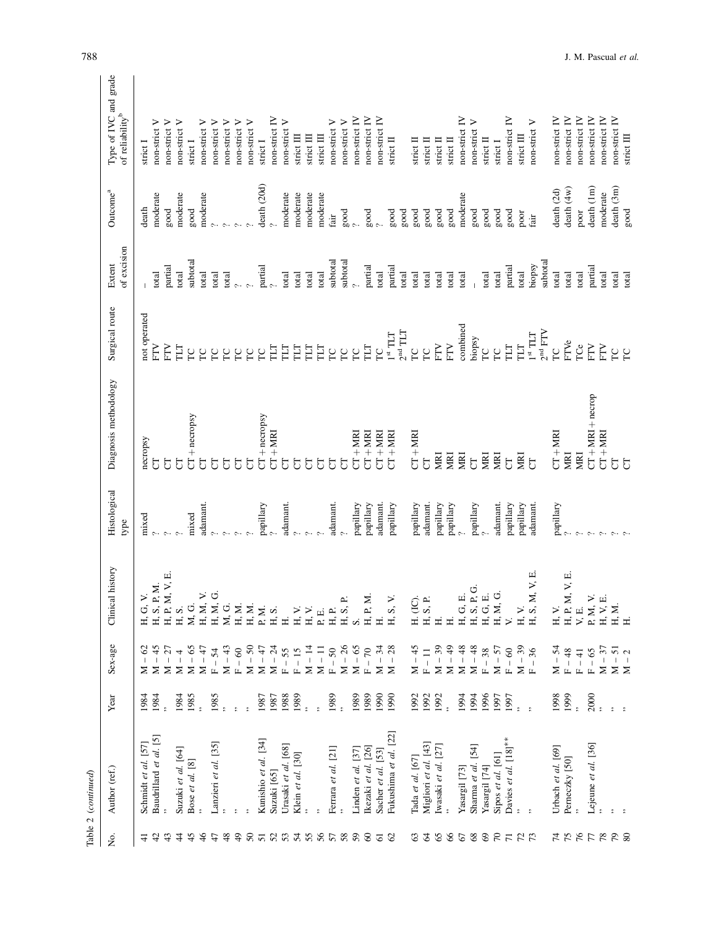|                | Table 2 (continued)    |                      |                                                                                                                                                                                                                                                                                                                                                    |                                                                                                                                                                                                                                                                                |                      |                       |                                   |                       |                      |                                             |
|----------------|------------------------|----------------------|----------------------------------------------------------------------------------------------------------------------------------------------------------------------------------------------------------------------------------------------------------------------------------------------------------------------------------------------------|--------------------------------------------------------------------------------------------------------------------------------------------------------------------------------------------------------------------------------------------------------------------------------|----------------------|-----------------------|-----------------------------------|-----------------------|----------------------|---------------------------------------------|
| Σó.            | Author (ref.)          | Year                 | Sex-age                                                                                                                                                                                                                                                                                                                                            | d history<br>Clinical                                                                                                                                                                                                                                                          | Histological<br>type | Diagnosis methodology | Surgical route                    | of excision<br>Extent | Outcome <sup>a</sup> | Type of IVC and grade<br>of reliability $b$ |
| $\frac{1}{4}$  | Schmidt et al. [57]    | 1984                 |                                                                                                                                                                                                                                                                                                                                                    |                                                                                                                                                                                                                                                                                | mixed                | necropsy              | not operated                      |                       | death                | strict I                                    |
| $\overline{4}$ | Baudrillard et al. [5] | 1984                 |                                                                                                                                                                                                                                                                                                                                                    |                                                                                                                                                                                                                                                                                |                      | 5                     | FTV                               | total                 | moderate             | non-strict V                                |
| 43             |                        |                      |                                                                                                                                                                                                                                                                                                                                                    |                                                                                                                                                                                                                                                                                |                      | 5                     | FTV                               | partial               | $_{\rm good}$        | non-strict V                                |
| $\ddot{4}$     | Suzuki et al. [64]     | 1984                 |                                                                                                                                                                                                                                                                                                                                                    |                                                                                                                                                                                                                                                                                |                      | 5                     | ГLI                               | total                 | moderate             | non-strict $V$                              |
| 45             | Bose et al. [8]        | 1985                 |                                                                                                                                                                                                                                                                                                                                                    |                                                                                                                                                                                                                                                                                | mixed                | $CT + necropsy$       | $\sum_{i=1}^{n}$                  | subtotal              | $_{\rm good}$        | strict I                                    |
| 46             |                        |                      |                                                                                                                                                                                                                                                                                                                                                    | H, M,                                                                                                                                                                                                                                                                          | adamant.             | $5\overline{C}$       | $\Gamma$                          | total                 | moderate             | non-strict V                                |
| 47             | Lanzieri et al. [35]   | 1985                 |                                                                                                                                                                                                                                                                                                                                                    | $\begin{array}{l} \mathrm{H, \, M, \, V.} \\ \mathrm{H, \, M, \, G.} \end{array}$                                                                                                                                                                                              |                      | 5                     | $\Gamma$                          | total                 |                      | non-strict V                                |
| 48             |                        |                      |                                                                                                                                                                                                                                                                                                                                                    | M, G.                                                                                                                                                                                                                                                                          |                      | 5                     | $\sum_{i=1}^{n}$                  | total                 |                      | non-strict V                                |
| $\overline{4}$ |                        |                      |                                                                                                                                                                                                                                                                                                                                                    | H, M.                                                                                                                                                                                                                                                                          |                      | 5                     | $\Gamma$                          |                       |                      | non-strict V                                |
|                |                        |                      |                                                                                                                                                                                                                                                                                                                                                    | H, M.                                                                                                                                                                                                                                                                          |                      | $5\overline{C}$       | PC                                |                       |                      | non-strict $V$                              |
| S58655856888   | Kunishio et al. [34]   | 1987                 | $\begin{array}{l} 22 \ 23 \ 24 \ 25 \ 26 \ 27 \ 28 \ 29 \ 20 \ 20 \ 20 \ 21 \ 22 \ 23 \ 24 \ 25 \ 26 \ 27 \ 28 \ 29 \ 20 \ 20 \ 20 \ 21 \ 22 \ 23 \ 24 \ 25 \ 26 \ 27 \ 28 \ 29 \ 20 \ 20 \ 21 \ 22 \ 23 \ 24 \ 25 \ 26 \ 27 \ 28 \ 29 \ 20 \ 21 \ 22 \ 23 \ 24 \ 25 \ 26 \ 27 \ 28 \ 29 \ $                                                       | $\begin{array}{ll} \mathbf{P}, \; \mathbf{N}, \\ \mathbf{H}, \; \mathbf{S}, \\ \mathbf{H}, \; \mathbf{H}, \end{array}$                                                                                                                                                         | papillary            | $CT +$ necropsy       | $\Gamma$                          | partial               | death (20d)          | strict I                                    |
|                | Suzuki [65]            | 1987                 |                                                                                                                                                                                                                                                                                                                                                    |                                                                                                                                                                                                                                                                                |                      | $CT + MRI$            | E                                 |                       |                      | non-strict IV                               |
|                | Urasaki et al. [68]    | 1988                 |                                                                                                                                                                                                                                                                                                                                                    |                                                                                                                                                                                                                                                                                | adamant.             | $\overline{5}$        | ГЦ                                | total                 | moderate             | non-strict V                                |
|                | Klein et al. [30]      | 1989                 |                                                                                                                                                                                                                                                                                                                                                    | $H, V$                                                                                                                                                                                                                                                                         |                      | 5                     | E                                 | total                 | moderate             | strict III                                  |
|                |                        |                      |                                                                                                                                                                                                                                                                                                                                                    | $\rm H,$ $\rm V$                                                                                                                                                                                                                                                               |                      | 5                     | E                                 | total                 | moderate             | strict III                                  |
|                |                        |                      |                                                                                                                                                                                                                                                                                                                                                    |                                                                                                                                                                                                                                                                                |                      | $\overline{5}$        | E                                 | total                 | moderate             | strict III                                  |
|                | Ferrara et al. [21]    | 1989                 | 50<br>$\frac{1}{\mathbf{E}}$                                                                                                                                                                                                                                                                                                                       | P. E.<br>H. P. P.<br>H. S. P.                                                                                                                                                                                                                                                  | adamant.             | 5                     | $\Gamma$                          | subtotal              | fair                 | non-strict V                                |
|                |                        |                      | $\mathbf{M}$ – 26                                                                                                                                                                                                                                                                                                                                  |                                                                                                                                                                                                                                                                                |                      | 5                     | $\overline{C}$                    | subtotal              | $_{\rm good}$        | non-strict V                                |
|                | Linden et al. [37]     | 1989                 | $M - 65$                                                                                                                                                                                                                                                                                                                                           | $\dot{\mathbf{v}}$                                                                                                                                                                                                                                                             | papillary            | $CT + MRI$            | $\Gamma$                          | $\sim$                |                      | non-strict IV                               |
|                | Ikezaki et al. [26]    | 1989                 | $70$<br>$F - 7$<br>M – 1                                                                                                                                                                                                                                                                                                                           | $H, P, M.$                                                                                                                                                                                                                                                                     | papillary            | $CT + MRI$            | E                                 | partial               | $_{\rm good}$        | non-strict IV                               |
| 2 g            | Sacher et al. [53]     | 1990                 | $34 \over 28$                                                                                                                                                                                                                                                                                                                                      | $\Xi$                                                                                                                                                                                                                                                                          | adamant              | $CT + MRI$            | $\overline{C}$                    | total                 |                      | non-strict IV                               |
|                | Fukushima et al. [22]  | 1990                 |                                                                                                                                                                                                                                                                                                                                                    | $H, S, V$ .                                                                                                                                                                                                                                                                    | papillary            | $CT + MRI$            | $1^{\rm st}$ TLT $2^{\rm nd}$ TLT | partial               | $_{\rm good}$        | strict II                                   |
|                |                        |                      |                                                                                                                                                                                                                                                                                                                                                    |                                                                                                                                                                                                                                                                                |                      |                       |                                   | total                 | $_{\rm good}$        |                                             |
| 23             | Tada et al. [67]       | 1992                 |                                                                                                                                                                                                                                                                                                                                                    | H. $(IC)$ .<br>H. S. P.                                                                                                                                                                                                                                                        | papillary            | $CT + MR$             | LC                                | total                 | $_{\rm good}$        | strict $\Pi$                                |
|                | Migliori et al. [43]   | 1992                 |                                                                                                                                                                                                                                                                                                                                                    |                                                                                                                                                                                                                                                                                | adamant              | $\overline{5}$        | LC                                | total                 | $_{\rm good}$        | strict II                                   |
| 65             | Iwasaki et al. [27]    | 1992                 |                                                                                                                                                                                                                                                                                                                                                    | $\Xi$                                                                                                                                                                                                                                                                          | papillary            | MRI                   | FTV                               | total                 | $_{\rm good}$        | strict II                                   |
| 66             | $\ddot{\cdot}$         | $\ddot{\phantom{0}}$ | $\begin{array}{l} \tt{M} = 45 \\ \tt{F} - 11 \\ \tt{N} = 39 \\ \tt{N} = 48 \\ \tt{N} = 48 \\ \tt{N} = 48 \\ \tt{N} = 48 \\ \tt{N} = 48 \\ \tt{N} = 48 \\ \tt{N} = 48 \\ \tt{N} = 48 \\ \tt{N} = 48 \\ \tt{N} = 48 \\ \tt{N} = 48 \\ \tt{N} = 48 \\ \tt{N} = 48 \\ \tt{N} = 48 \\ \tt{N} = 48 \\ \tt{N} = 48 \\ \tt{N} = 48 \\ \tt{N} = 48 \\ \tt{$ | $\Xi$                                                                                                                                                                                                                                                                          | papillary            | MRI                   | FTV                               | total                 | $_{\rm good}$        | strict II                                   |
| 67             | Yasargil [73]          | 1994                 |                                                                                                                                                                                                                                                                                                                                                    |                                                                                                                                                                                                                                                                                |                      | MRI                   | combined                          | total                 | moderate             | non-strict IV                               |
| $68\,$         | Sharma et al. [54]     | 1994                 |                                                                                                                                                                                                                                                                                                                                                    | H, G, E, G, E, G, E, G, E, G, E, G, E, G, E, G, E, G, E, H, G, E, H, G, E, H, G, E, H, G, E, H, G, E, H, G, E, H, G, E, H, G, E, H, G, E, H, G, E, H, G, E, H, G, E, H, G, E, H, G, E, H, G, E, H, G, E, H, G, E, H, G, E, H,                                                  | papillary            | $\overline{5}$        | biopsy                            |                       | $_{\rm good}$        | non-strict V                                |
|                | Yasargil [74]          | 1996                 |                                                                                                                                                                                                                                                                                                                                                    |                                                                                                                                                                                                                                                                                |                      | MRI                   | $\Gamma$                          | total                 | $_{\rm good}$        | strict II                                   |
|                | Sipos et al. [61]      | 1997                 |                                                                                                                                                                                                                                                                                                                                                    |                                                                                                                                                                                                                                                                                | adamant.             | MRI                   | FC                                | total                 | $_{\rm good}$        | strict I                                    |
| 82727          | Davies et al. [18]**   | 1997                 | $F - 38$<br>$M - 57$<br>$F - 60$<br>$N - 39$<br>$F - 36$                                                                                                                                                                                                                                                                                           | $\dot{\succ}$                                                                                                                                                                                                                                                                  | papillary            | $\overline{5}$        | ПII                               | partial               | $_{\rm good}$        | non-strict IV                               |
|                | $\ddot{\mathbf{z}}$    |                      |                                                                                                                                                                                                                                                                                                                                                    |                                                                                                                                                                                                                                                                                | papillary            | MRI                   | ГLT                               | total                 | poor                 | strict III                                  |
|                | $\ddot{\phantom{0}}$   |                      |                                                                                                                                                                                                                                                                                                                                                    | H, V. $\label{eq:1}$ H, S, M, V, E.                                                                                                                                                                                                                                            | adamant              | $\overline{5}$        | $1^{\rm st}$ TLT                  | biopsy                | fair                 | non-strict ${\bf V}$                        |
|                |                        |                      |                                                                                                                                                                                                                                                                                                                                                    |                                                                                                                                                                                                                                                                                |                      |                       | $2^{\rm nd}$ FTV                  | subtotal              |                      |                                             |
|                | Urbach et al. [69]     | 1998                 |                                                                                                                                                                                                                                                                                                                                                    |                                                                                                                                                                                                                                                                                | papillary            | $CT + MRI$            | LC                                | total                 | death (2d)           | non-strict IV                               |
| <b>45678</b>   | Perneczky [50]<br>"    | 1999                 | $M - 54$<br>F-48<br>F-41<br>F-65                                                                                                                                                                                                                                                                                                                   |                                                                                                                                                                                                                                                                                |                      | <b>MRI</b>            | FTVe                              | total                 | death (4w)           | non-strict IV                               |
|                |                        |                      |                                                                                                                                                                                                                                                                                                                                                    |                                                                                                                                                                                                                                                                                |                      | MRI                   | ГCе                               | total                 | poor                 | non-strict IV                               |
|                | Lejeune et al. [36]    | 2000                 |                                                                                                                                                                                                                                                                                                                                                    |                                                                                                                                                                                                                                                                                |                      | $CT + MRI + necrop$   | FTV                               | partial               | death (1m)           | non-strict IV                               |
|                |                        |                      | $M - 37$                                                                                                                                                                                                                                                                                                                                           |                                                                                                                                                                                                                                                                                |                      | $CT + MRI$            | FTV                               | total                 | moderate             | non-strict IV                               |
| $\frac{8}{6}$  |                        | $\ddot{\cdot}$       | $M - 51$<br>$M - 2$                                                                                                                                                                                                                                                                                                                                | $\begin{array}{l} \mathrm{H}, \mathrm{V},\\ \mathrm{H}, \mathrm{P}, \mathrm{M}, \mathrm{V}, \mathrm{E},\\ \mathrm{V}, \mathrm{E},\\ \mathrm{P}, \mathrm{M}, \mathrm{V},\\ \mathrm{H}, \mathrm{V}, \mathrm{E},\\ \mathrm{H}, \mathrm{M},\\ \mathrm{H}, \mathrm{M}. \end{array}$ |                      | <b>UD</b>             | <b>PC</b>                         | total                 | death (3m)           | $non\text{-}strict$ $\text{IV}$             |
|                |                        |                      |                                                                                                                                                                                                                                                                                                                                                    |                                                                                                                                                                                                                                                                                |                      |                       |                                   | total                 | $_{\rm good}$        | strict III                                  |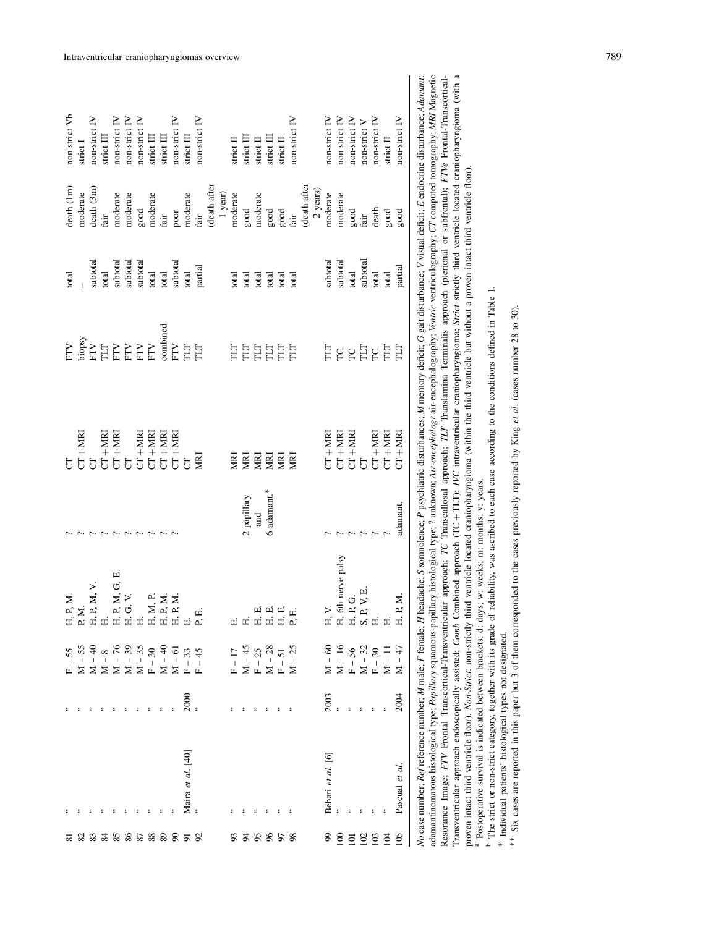| non-strict Vb<br>non-strict $\rm IV$ strict $\rm III$<br>non-strict IV<br>non-strict IV<br>non-strict $\rm IV$ strict $\rm III$<br>strict $\rm III$<br>$\frac{1}{2}$ strict $\frac{1}{2}$                                                                                                                                                                                                                                             | $non\text{-strict } \operatorname{IV}$<br>non-strict IV strict III<br>$\begin{array}{ll} \mbox{strict II} \\ \mbox{strict III} \\ \mbox{strict II} \\ \mbox{strict II} \\ \mbox{strict II} \end{array}$ | $\operatorname{non-strict}$ IV<br>$non\text{-strict }IV$<br>strict $\Pi$ | $non\text{-strict}\ IV$<br>non-strict IV strict II<br>non-strict IV<br>non-strict IV<br>non-strict ${\bf V}$                                               |
|---------------------------------------------------------------------------------------------------------------------------------------------------------------------------------------------------------------------------------------------------------------------------------------------------------------------------------------------------------------------------------------------------------------------------------------|---------------------------------------------------------------------------------------------------------------------------------------------------------------------------------------------------------|--------------------------------------------------------------------------|------------------------------------------------------------------------------------------------------------------------------------------------------------|
| death (1m)<br>$\begin{array}{l} \displaystyle \text{death}\ (\beta m) \\ \displaystyle \text{fair} \end{array}$<br>moderate<br>moderate<br>good<br>moderate<br>fair<br>moderate                                                                                                                                                                                                                                                       | moderate<br>fair faith after death after $\frac{1}{1}$ year)<br>$\frac{1}{1}$ year)<br>moderate<br>moderate good<br>good good good after fair<br>poor                                                   | (death after<br>$2 \text{ years}$ )<br>moderate                          | moderate<br>$\begin{array}{c}\n\text{death} \\ \text{good}\n\end{array}$<br>good<br>fair<br>good                                                           |
| subtotal<br>${\bf subtotal} \atop {\bf total} \atop {\bf total} \atop {\bf total} \atop {\bf total} \atop {\bf total} \atop {\bf total} \atop {\bf total} \atop {\bf total} \atop {\bf total}$<br>subtotal<br>total<br>total                                                                                                                                                                                                          | partial<br>total<br>total<br>total                                                                                                                                                                      | total<br>total<br>total                                                  | subtotal<br>subtotal<br>subtotal<br>partial<br>total<br>$\rm{total}$ total                                                                                 |
| $\begin{array}{l} \mathop{\rm biops}\limits_{\rm BYN} \\ \mathop{\rm HTV}\limits_{\rm FTV} \\ \mathop{\rm FTV}\limits_{\rm FTV} \end{array}$<br>FTV                                                                                                                                                                                                                                                                                   | $\begin{array}{l} \mbox{combined}\\ \mbox{FTV}\\ \mbox{TLT}\\ \mbox{TLT} \end{array}$                                                                                                                   |                                                                          | ដ្ឋម្ភដ្ឋ<br>E                                                                                                                                             |
| $CT + MRI$ $CT$<br>$\begin{array}{l} \tt H\bar{H}\bar{H} \\ \tt H\bar{H} \\ \tt H\bar{H} \\ \tt H\bar{H} \\ \tt H\bar{H} \\ \tt H\bar{H} \\ \tt H\bar{H} \\ \tt H\bar{H} \\ \tt H\bar{H} \\ \tt H\bar{H} \\ \tt H\bar{H} \\ \tt H\bar{H} \\ \tt H\bar{H} \\ \tt H\bar{H} \\ \tt H\bar{H} \\ \tt H\bar{H} \\ \tt H\bar{H} \\ \tt H\bar{H} \\ \tt H\bar{H} \\ \tt H\bar{H} \\ \tt H\bar{H} \\ \tt H\bar{H} \\ \tt H\bar{H} \\ \tt$<br>5 | MRI                                                                                                                                                                                                     | <b>EN EN EN EN</b><br>EN EN EN EN                                        | $\begin{array}{lcl} & \text{CT + MRI} \\ & \text{CT + MRI} \\ & \text{CT + MRI} \\ & \text{CT + MRI} \end{array}$<br>$CT + MRI$<br>$CT + MRI$<br>$CT + MR$ |
|                                                                                                                                                                                                                                                                                                                                                                                                                                       | $2$ papillary $\,$<br>and                                                                                                                                                                               | $6$ adamant. $^*$                                                        | adamant.                                                                                                                                                   |
|                                                                                                                                                                                                                                                                                                                                                                                                                                       |                                                                                                                                                                                                         | minini<br>Mininininin                                                    | H, V.<br>H, 6th nerve palsy<br>H, P, G.<br>S, P, V, E.<br>H.<br>H.<br>$H, P, M.$                                                                           |
| $\begin{array}{lllllll} \texttt{F} & \texttt{1} & \texttt{1} & \texttt{1} & \texttt{1} & \texttt{1} & \texttt{1} & \texttt{1} & \texttt{1} & \texttt{1} & \texttt{1} & \texttt{1} & \texttt{1} & \texttt{1} & \texttt{1} & \texttt{1} & \texttt{1} & \texttt{1} & \texttt{1} & \texttt{1} & \texttt{1} & \texttt{1} & \texttt{1} & \texttt{1} & \texttt{1} & \texttt{1} & \texttt{1} & \texttt{1} & \texttt{1} & \texttt{1} &$        |                                                                                                                                                                                                         |                                                                          |                                                                                                                                                            |
| $\frac{1}{2}$ $\frac{1}{2}$ $\frac{1}{2}$                                                                                                                                                                                                                                                                                                                                                                                             | 2000<br>$\frac{1}{2}$ , $\frac{1}{2}$ , $\frac{1}{2}$ , $\frac{1}{2}$                                                                                                                                   |                                                                          | $203$<br>$212$<br>2004                                                                                                                                     |
| $\ddot{\mathbf{r}}$<br>$\ddot{\phantom{0}}$<br>$\ddot{\mathbf{z}}$<br>$\ddot{\mathbf{r}}$<br>$\ddot{\rm s}$                                                                                                                                                                                                                                                                                                                           | Maira et al. [40]<br>"                                                                                                                                                                                  |                                                                          | Behari $et\ al.$ [6] $,$<br>Pascual et al.                                                                                                                 |
|                                                                                                                                                                                                                                                                                                                                                                                                                                       |                                                                                                                                                                                                         |                                                                          |                                                                                                                                                            |

Transventricular approach endoscopically assisted; Comb Combined approach (TC+TLT); IVC intraventricular craniopharyngioma; Strict strictly third ventricle located craniopharyngioma (with a No case number, Ref reference number, M male; F female; H headache; S somnolence; P psychiatric disturbances; M memory deficit; G gait disturbance; V visual deficit; E endocrine disturbance; Adamant: adamantinomatous histological type; Papillary squamous-papillary histological type; ? unknown; Air-encephalograiry; Ventric ventriculography; CT computed tomography; MRI Magnetic Resonance Image; FTV Frontal Transcortical-Transventricular approach; TC Transcallosal approach; TLT Translamina Terminalis approach (pterional or subfrontal); FTVe Frontal-Transcorticaladamantinomatous histological type; Papillary squamous-papillary histological type; ? unknown; Air-encephalography; Ventric ventriculography; CT computed tomography; MRI Magnetic Resonance Image; FTV Frontal Transcortical-Transventricular approach; TC Transcallosal approach; TLT Translamina Terminalis approach (pterional) or subfrontal); FTVe Frontal-Transcortical-Transventricular approach endoscopically assisted; Comb Combined approach (TC+TLT); IVC intraventricular craniopharyngioma; Strict strictly third ventricle located craniopharyngioma (with a No case number; Ref reference number; M male; F female; F theadache; S somnolence; P psychiatric disturbances; M memory deficit; G gait disturbance; V visual deficit; E endocrine disturbance; Adamant: proven intact third ventricle floor). Non-Strict: non-strictly third ventricle located craniopharyngioma (within the third ventricle but without a proven intact third ventricle floor). proven intact third ventricle floor). Non-Strict: non-strictly third ventricle located craniopharyngioma (within the third ventricle but without a proven intact third ventricle floor). <sup>a</sup> Postoperative survival is indicated between brackets; d: days; w: weeks; m: months; y: years.

 Postoperative survival is indicated between brackets; d: days; w: weeks; m: months; y: years. <sup>b</sup> The strict or non-strict category, together with its grade of reliability, was ascribed to each case according to the conditions defined in Table 1. The strict or non-strict category, together with its grade of reliability, was ascribed to each case according to the conditions defined in Table 1.

\* Individual patients' histological types not designated. Individual patients' histological types not designated.

\*\* Six cases are reported in this paper but 3 of them corresponded to the cases previously reported by King et al. (cases number 28 to 30). \*\* Six cases are reported in this paper but 3 of them corresponded to the cases previously reported by King et al. (cases number 28 to 30).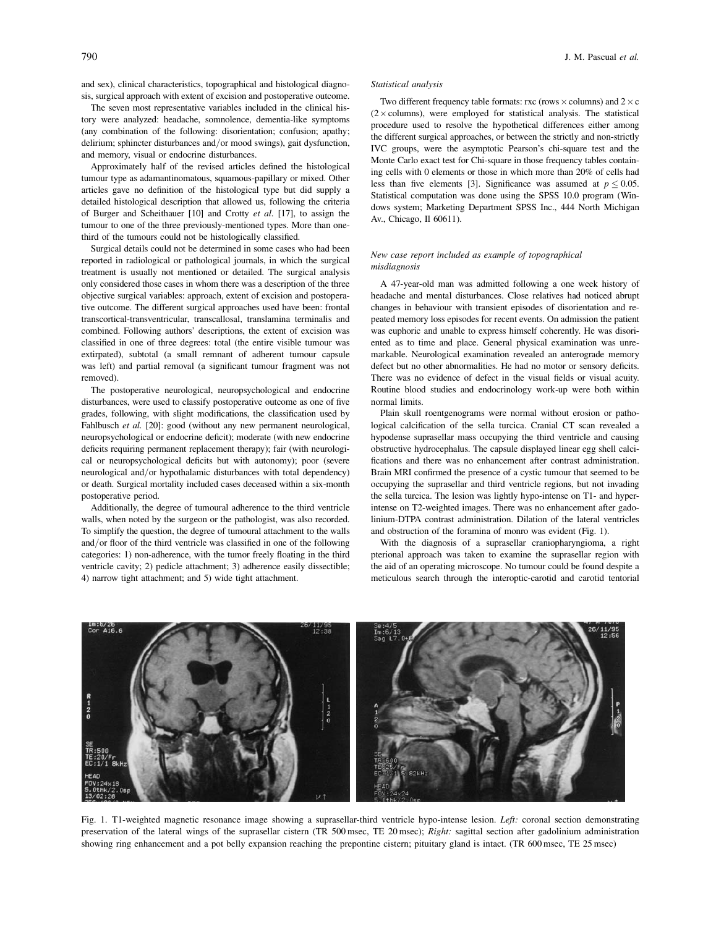and sex), clinical characteristics, topographical and histological diagnosis, surgical approach with extent of excision and postoperative outcome.

The seven most representative variables included in the clinical history were analyzed: headache, somnolence, dementia-like symptoms (any combination of the following: disorientation; confusion; apathy; delirium; sphincter disturbances and/or mood swings), gait dysfunction, and memory, visual or endocrine disturbances.

Approximately half of the revised articles defined the histological tumour type as adamantinomatous, squamous-papillary or mixed. Other articles gave no definition of the histological type but did supply a detailed histological description that allowed us, following the criteria of Burger and Scheithauer [10] and Crotty et al. [17], to assign the tumour to one of the three previously-mentioned types. More than onethird of the tumours could not be histologically classified.

Surgical details could not be determined in some cases who had been reported in radiological or pathological journals, in which the surgical treatment is usually not mentioned or detailed. The surgical analysis only considered those cases in whom there was a description of the three objective surgical variables: approach, extent of excision and postoperative outcome. The different surgical approaches used have been: frontal transcortical-transventricular, transcallosal, translamina terminalis and combined. Following authors' descriptions, the extent of excision was classified in one of three degrees: total (the entire visible tumour was extirpated), subtotal (a small remnant of adherent tumour capsule was left) and partial removal (a significant tumour fragment was not removed).

The postoperative neurological, neuropsychological and endocrine disturbances, were used to classify postoperative outcome as one of five grades, following, with slight modifications, the classification used by Fahlbusch et al. [20]: good (without any new permanent neurological, neuropsychological or endocrine deficit); moderate (with new endocrine deficits requiring permanent replacement therapy); fair (with neurological or neuropsychological deficits but with autonomy); poor (severe neurological and/or hypothalamic disturbances with total dependency) or death. Surgical mortality included cases deceased within a six-month postoperative period.

Additionally, the degree of tumoural adherence to the third ventricle walls, when noted by the surgeon or the pathologist, was also recorded. To simplify the question, the degree of tumoural attachment to the walls and/or floor of the third ventricle was classified in one of the following categories: 1) non-adherence, with the tumor freely floating in the third ventricle cavity; 2) pedicle attachment; 3) adherence easily dissectible; 4) narrow tight attachment; and 5) wide tight attachment.

#### Statistical analysis

Two different frequency table formats: rxc (rows  $\times$  columns) and  $2 \times c$  $(2 \times$  columns), were employed for statistical analysis. The statistical procedure used to resolve the hypothetical differences either among the different surgical approaches, or between the strictly and non-strictly IVC groups, were the asymptotic Pearson's chi-square test and the Monte Carlo exact test for Chi-square in those frequency tables containing cells with 0 elements or those in which more than 20% of cells had less than five elements [3]. Significance was assumed at  $p \le 0.05$ . Statistical computation was done using the SPSS 10.0 program (Windows system; Marketing Department SPSS Inc., 444 North Michigan Av., Chicago, Il 60611).

#### New case report included as example of topographical misdiagnosis

A 47-year-old man was admitted following a one week history of headache and mental disturbances. Close relatives had noticed abrupt changes in behaviour with transient episodes of disorientation and repeated memory loss episodes for recent events. On admission the patient was euphoric and unable to express himself coherently. He was disoriented as to time and place. General physical examination was unremarkable. Neurological examination revealed an anterograde memory defect but no other abnormalities. He had no motor or sensory deficits. There was no evidence of defect in the visual fields or visual acuity. Routine blood studies and endocrinology work-up were both within normal limits.

Plain skull roentgenograms were normal without erosion or pathological calcification of the sella turcica. Cranial CT scan revealed a hypodense suprasellar mass occupying the third ventricle and causing obstructive hydrocephalus. The capsule displayed linear egg shell calcifications and there was no enhancement after contrast administration. Brain MRI confirmed the presence of a cystic tumour that seemed to be occupying the suprasellar and third ventricle regions, but not invading the sella turcica. The lesion was lightly hypo-intense on T1- and hyperintense on T2-weighted images. There was no enhancement after gadolinium-DTPA contrast administration. Dilation of the lateral ventricles and obstruction of the foramina of monro was evident (Fig. 1).

With the diagnosis of a suprasellar craniopharyngioma, a right pterional approach was taken to examine the suprasellar region with the aid of an operating microscope. No tumour could be found despite a meticulous search through the interoptic-carotid and carotid tentorial



Fig. 1. T1-weighted magnetic resonance image showing a suprasellar-third ventricle hypo-intense lesion. Left: coronal section demonstrating preservation of the lateral wings of the suprasellar cistern (TR 500 msec, TE 20 msec); Right: sagittal section after gadolinium administration showing ring enhancement and a pot belly expansion reaching the prepontine cistern; pituitary gland is intact. (TR 600 msec, TE 25 msec)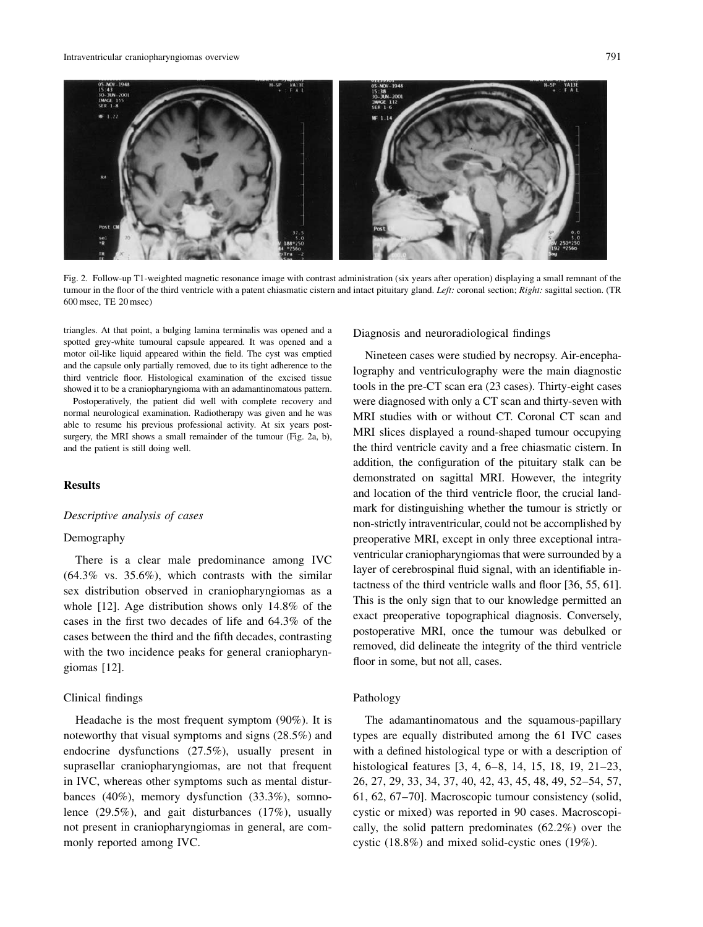

Fig. 2. Follow-up T1-weighted magnetic resonance image with contrast administration (six years after operation) displaying a small remnant of the tumour in the floor of the third ventricle with a patent chiasmatic cistern and intact pituitary gland. Left: coronal section; Right: sagittal section. (TR 600 msec, TE 20 msec)

triangles. At that point, a bulging lamina terminalis was opened and a spotted grey-white tumoural capsule appeared. It was opened and a motor oil-like liquid appeared within the field. The cyst was emptied and the capsule only partially removed, due to its tight adherence to the third ventricle floor. Histological examination of the excised tissue showed it to be a craniopharyngioma with an adamantinomatous pattern.

Postoperatively, the patient did well with complete recovery and normal neurological examination. Radiotherapy was given and he was able to resume his previous professional activity. At six years postsurgery, the MRI shows a small remainder of the tumour (Fig. 2a, b), and the patient is still doing well.

### Results

#### Descriptive analysis of cases

#### Demography

There is a clear male predominance among IVC  $(64.3\%$  vs.  $35.6\%)$ , which contrasts with the similar sex distribution observed in craniopharyngiomas as a whole [12]. Age distribution shows only 14.8% of the cases in the first two decades of life and 64.3% of the cases between the third and the fifth decades, contrasting with the two incidence peaks for general craniopharyngiomas [12].

## Clinical findings

Headache is the most frequent symptom (90%). It is noteworthy that visual symptoms and signs (28.5%) and endocrine dysfunctions (27.5%), usually present in suprasellar craniopharyngiomas, are not that frequent in IVC, whereas other symptoms such as mental disturbances (40%), memory dysfunction (33.3%), somnolence (29.5%), and gait disturbances (17%), usually not present in craniopharyngiomas in general, are commonly reported among IVC.

Diagnosis and neuroradiological findings

Nineteen cases were studied by necropsy. Air-encephalography and ventriculography were the main diagnostic tools in the pre-CT scan era (23 cases). Thirty-eight cases were diagnosed with only a CT scan and thirty-seven with MRI studies with or without CT. Coronal CT scan and MRI slices displayed a round-shaped tumour occupying the third ventricle cavity and a free chiasmatic cistern. In addition, the configuration of the pituitary stalk can be demonstrated on sagittal MRI. However, the integrity and location of the third ventricle floor, the crucial landmark for distinguishing whether the tumour is strictly or non-strictly intraventricular, could not be accomplished by preoperative MRI, except in only three exceptional intraventricular craniopharyngiomas that were surrounded by a layer of cerebrospinal fluid signal, with an identifiable intactness of the third ventricle walls and floor [36, 55, 61]. This is the only sign that to our knowledge permitted an exact preoperative topographical diagnosis. Conversely, postoperative MRI, once the tumour was debulked or removed, did delineate the integrity of the third ventricle floor in some, but not all, cases.

## Pathology

The adamantinomatous and the squamous-papillary types are equally distributed among the 61 IVC cases with a defined histological type or with a description of histological features [3, 4, 6–8, 14, 15, 18, 19, 21–23, 26, 27, 29, 33, 34, 37, 40, 42, 43, 45, 48, 49, 52–54, 57, 61, 62, 67–70]. Macroscopic tumour consistency (solid, cystic or mixed) was reported in 90 cases. Macroscopically, the solid pattern predominates (62.2%) over the cystic (18.8%) and mixed solid-cystic ones (19%).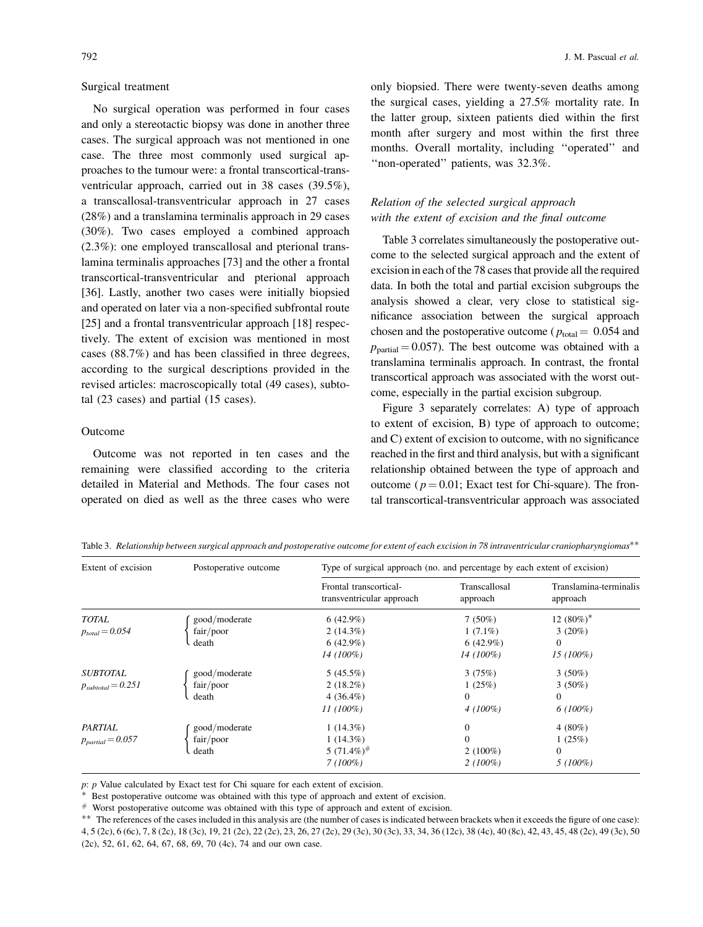## Surgical treatment

No surgical operation was performed in four cases and only a stereotactic biopsy was done in another three cases. The surgical approach was not mentioned in one case. The three most commonly used surgical approaches to the tumour were: a frontal transcortical-transventricular approach, carried out in 38 cases (39.5%), a transcallosal-transventricular approach in 27 cases (28%) and a translamina terminalis approach in 29 cases (30%). Two cases employed a combined approach (2.3%): one employed transcallosal and pterional translamina terminalis approaches [73] and the other a frontal transcortical-transventricular and pterional approach [36]. Lastly, another two cases were initially biopsied and operated on later via a non-specified subfrontal route [25] and a frontal transventricular approach [18] respectively. The extent of excision was mentioned in most cases (88.7%) and has been classified in three degrees, according to the surgical descriptions provided in the revised articles: macroscopically total (49 cases), subtotal (23 cases) and partial (15 cases).

### Outcome

Outcome was not reported in ten cases and the remaining were classified according to the criteria detailed in Material and Methods. The four cases not operated on died as well as the three cases who were

only biopsied. There were twenty-seven deaths among the surgical cases, yielding a 27.5% mortality rate. In the latter group, sixteen patients died within the first month after surgery and most within the first three months. Overall mortality, including ''operated'' and ''non-operated'' patients, was 32.3%.

## Relation of the selected surgical approach with the extent of excision and the final outcome

Table 3 correlates simultaneously the postoperative outcome to the selected surgical approach and the extent of excision in each of the 78 cases that provide all the required data. In both the total and partial excision subgroups the analysis showed a clear, very close to statistical significance association between the surgical approach chosen and the postoperative outcome ( $p_{total} = 0.054$  and  $p<sub>partial</sub> = 0.057$ . The best outcome was obtained with a translamina terminalis approach. In contrast, the frontal transcortical approach was associated with the worst outcome, especially in the partial excision subgroup.

Figure 3 separately correlates: A) type of approach to extent of excision, B) type of approach to outcome; and C) extent of excision to outcome, with no significance reached in the first and third analysis, but with a significant relationship obtained between the type of approach and outcome ( $p = 0.01$ ; Exact test for Chi-square). The frontal transcortical-transventricular approach was associated

| Extent of excision     | Postoperative outcome | Type of surgical approach (no. and percentage by each extent of excision) |                           |                                    |
|------------------------|-----------------------|---------------------------------------------------------------------------|---------------------------|------------------------------------|
|                        |                       | Frontal transcortical-<br>transventricular approach                       | Transcallosal<br>approach | Translamina-terminalis<br>approach |
| <b>TOTAL</b>           | good/moderate         | $6(42.9\%)$                                                               | $7(50\%)$                 | 12 $(80\%)^*$                      |
| $p_{total} = 0.054$    | fair/poor             | 2(14.3%)                                                                  | $1(7.1\%)$                | 3(20%)                             |
|                        | death                 | $6(42.9\%)$                                                               | $6(42.9\%)$               | $\Omega$                           |
|                        |                       | $14(100\%)$                                                               | $14(100\%)$               | $15(100\%)$                        |
| <b>SUBTOTAL</b>        | good/moderate         | $5(45.5\%)$                                                               | 3(75%)                    | $3(50\%)$                          |
| $p_{subtotal} = 0.251$ | fair/poor             | $2(18.2\%)$                                                               | 1(25%)                    | $3(50\%)$                          |
|                        | death                 | $4(36.4\%)$                                                               | 0                         | $\Omega$                           |
|                        |                       | $11(100\%)$                                                               | $4(100\%)$                | $6(100\%)$                         |
| PARTIAL                | good/moderate         | $1(14.3\%)$                                                               | $\Omega$                  | $4(80\%)$                          |
| $p_{partial}=0.057$    | fair/poor             | $1(14.3\%)$                                                               | $\Omega$                  | 1(25%)                             |
|                        | death                 | 5 $(71.4\%)^{\#}$                                                         | $2(100\%)$                | $\theta$                           |
|                        |                       | $7(100\%)$                                                                | $2(100\%)$                | $5(100\%)$                         |

Table 3. Relationship between surgical approach and postoperative outcome for extent of each excision in 78 intraventricular craniopharyngiomas\*\*

p: p Value calculated by Exact test for Chi square for each extent of excision.<br>
\* Best postoperative outcome was obtained with this type of approach and extent of excision.

Worst postoperative outcome was obtained with this type of approach and extent of excision.<br>\*\* The references of the cases included in this analysis are (the number of cases is indicated between brackets when it exceeds th 4, 5 (2c), 6 (6c), 7, 8 (2c), 18 (3c), 19, 21 (2c), 22 (2c), 23, 26, 27 (2c), 29 (3c), 30 (3c), 33, 34, 36 (12c), 38 (4c), 40 (8c), 42, 43, 45, 48 (2c), 49 (3c), 50 (2c), 52, 61, 62, 64, 67, 68, 69, 70 (4c), 74 and our own case.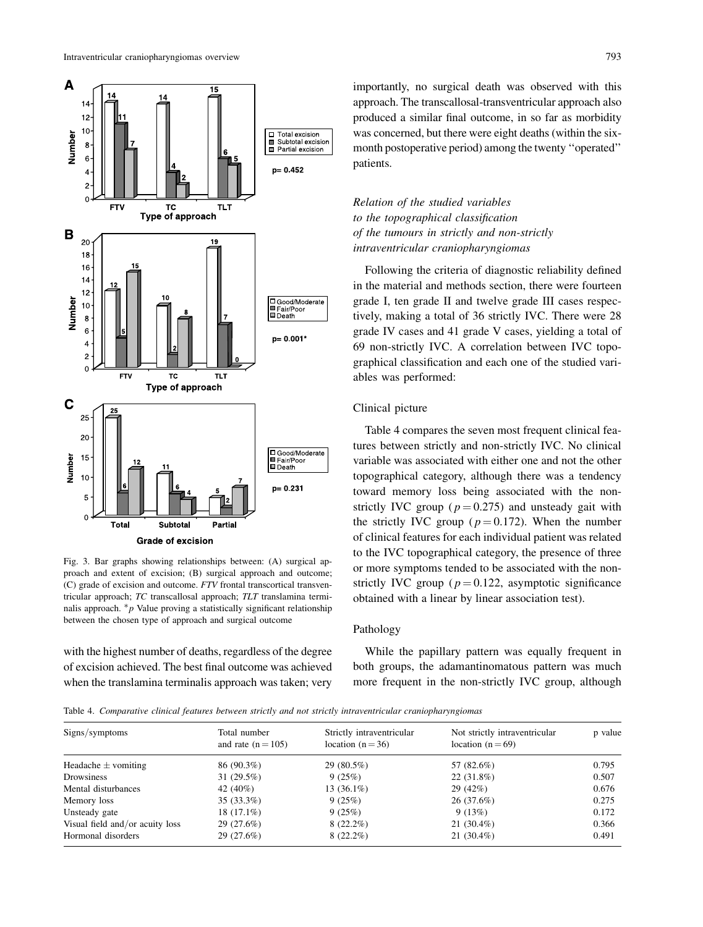

Fig. 3. Bar graphs showing relationships between: (A) surgical approach and extent of excision; (B) surgical approach and outcome; (C) grade of excision and outcome. FTV frontal transcortical transventricular approach; TC transcallosal approach; TLT translamina terminalis approach.  $\alpha$ <sup>\*</sup> p Value proving a statistically significant relationship between the chosen type of approach and surgical outcome

with the highest number of deaths, regardless of the degree of excision achieved. The best final outcome was achieved when the translamina terminalis approach was taken; very importantly, no surgical death was observed with this approach. The transcallosal-transventricular approach also produced a similar final outcome, in so far as morbidity was concerned, but there were eight deaths (within the sixmonth postoperative period) among the twenty ''operated'' patients.

## Relation of the studied variables to the topographical classification of the tumours in strictly and non-strictly intraventricular craniopharyngiomas

Following the criteria of diagnostic reliability defined in the material and methods section, there were fourteen grade I, ten grade II and twelve grade III cases respectively, making a total of 36 strictly IVC. There were 28 grade IV cases and 41 grade V cases, yielding a total of 69 non-strictly IVC. A correlation between IVC topographical classification and each one of the studied variables was performed:

## Clinical picture

Table 4 compares the seven most frequent clinical features between strictly and non-strictly IVC. No clinical variable was associated with either one and not the other topographical category, although there was a tendency toward memory loss being associated with the nonstrictly IVC group ( $p = 0.275$ ) and unsteady gait with the strictly IVC group ( $p = 0.172$ ). When the number of clinical features for each individual patient was related to the IVC topographical category, the presence of three or more symptoms tended to be associated with the nonstrictly IVC group ( $p = 0.122$ , asymptotic significance obtained with a linear by linear association test).

## Pathology

While the papillary pattern was equally frequent in both groups, the adamantinomatous pattern was much more frequent in the non-strictly IVC group, although

|  |  |  |  | Table 4. Comparative clinical features between strictly and not strictly intraventricular craniopharyngiomas |  |
|--|--|--|--|--------------------------------------------------------------------------------------------------------------|--|
|  |  |  |  |                                                                                                              |  |

| Signs/symptoms                  | Total number<br>and rate $(n = 105)$ | Strictly intraventricular<br>location $(n = 36)$ | Not strictly intraventricular<br>location $(n=69)$ | p value |
|---------------------------------|--------------------------------------|--------------------------------------------------|----------------------------------------------------|---------|
| Headache $\pm$ vomiting         | 86 (90.3%)                           | 29 (80.5%)                                       | 57 (82.6%)                                         | 0.795   |
| Drowsiness                      | 31(29.5%)                            | 9(25%)                                           | 22 (31.8%)                                         | 0.507   |
| Mental disturbances             | 42 (40%)                             | $13(36.1\%)$                                     | 29 (42%)                                           | 0.676   |
| Memory loss                     | $35(33.3\%)$                         | 9(25%)                                           | 26 (37.6%)                                         | 0.275   |
| Unsteady gate                   | 18 (17.1%)                           | 9(25%)                                           | 9(13%)                                             | 0.172   |
| Visual field and/or acuity loss | 29 (27.6%)                           | $8(22.2\%)$                                      | $21(30.4\%)$                                       | 0.366   |
| Hormonal disorders              | 29 (27.6%)                           | $8(22.2\%)$                                      | $21(30.4\%)$                                       | 0.491   |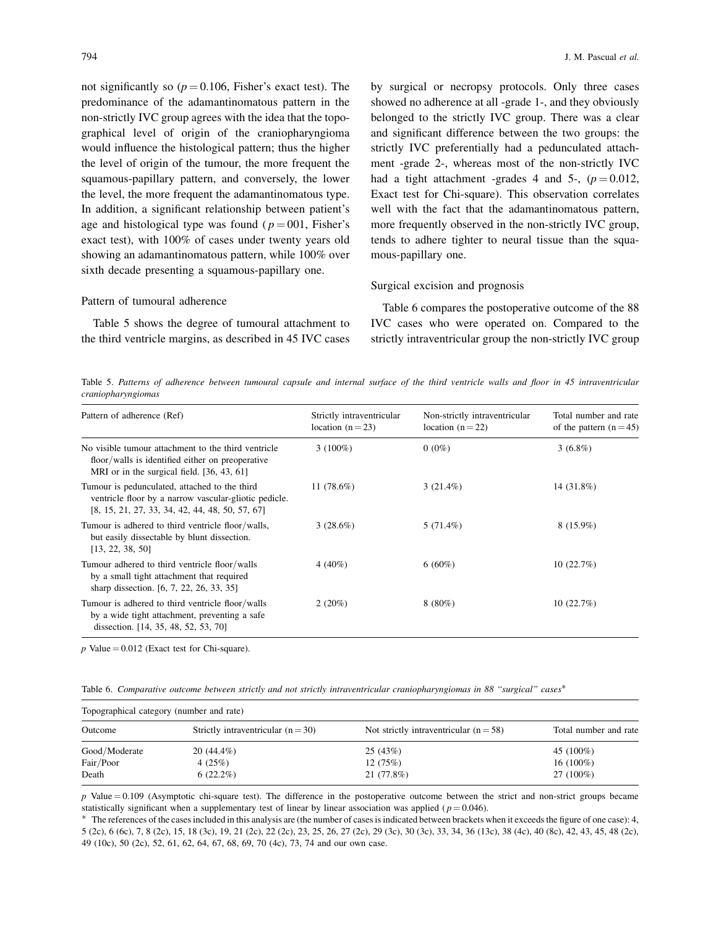not significantly so  $(p = 0.106$ , Fisher's exact test). The predominance of the adamantinomatous pattern in the non-strictly IVC group agrees with the idea that the topographical level of origin of the craniopharyngioma would influence the histological pattern; thus the higher the level of origin of the tumour, the more frequent the squamous-papillary pattern, and conversely, the lower the level, the more frequent the adamantinomatous type. In addition, a significant relationship between patient's age and histological type was found ( $p = 001$ , Fisher's exact test), with 100% of cases under twenty years old showing an adamantinomatous pattern, while 100% over sixth decade presenting a squamous-papillary one.

#### Pattern of tumoural adherence

Table 5 shows the degree of tumoural attachment to the third ventricle margins, as described in 45 IVC cases by surgical or necropsy protocols. Only three cases showed no adherence at all -grade 1-, and they obviously belonged to the strictly IVC group. There was a clear and significant difference between the two groups: the strictly IVC preferentially had a pedunculated attachment -grade 2-, whereas most of the non-strictly IVC had a tight attachment -grades 4 and 5-,  $(p = 0.012,$ Exact test for Chi-square). This observation correlates well with the fact that the adamantinomatous pattern, more frequently observed in the non-strictly IVC group, tends to adhere tighter to neural tissue than the squamous-papillary one.

#### Surgical excision and prognosis

Table 6 compares the postoperative outcome of the 88 IVC cases who were operated on. Compared to the strictly intraventricular group the non-strictly IVC group

Table 5. Patterns of adherence between tumoural capsule and internal surface of the third ventricle walls and floor in 45 intraventricular craniopharyngiomas

| Pattern of adherence (Ref)                                                                                                                                | Strictly intraventricular<br>location $(n=23)$ | Non-strictly intraventricular<br>location $(n = 22)$ | Total number and rate<br>of the pattern $(n=45)$ |
|-----------------------------------------------------------------------------------------------------------------------------------------------------------|------------------------------------------------|------------------------------------------------------|--------------------------------------------------|
| No visible tumour attachment to the third ventricle<br>floor/walls is identified either on preoperative<br>MRI or in the surgical field. [36, 43, 61]     | $3(100\%)$                                     | $0(0\%)$                                             | $3(6.8\%)$                                       |
| Tumour is pedunculated, attached to the third<br>ventricle floor by a narrow vascular-gliotic pedicle.<br>[8, 15, 21, 27, 33, 34, 42, 44, 48, 50, 57, 67] | 11 $(78.6%)$                                   | $3(21.4\%)$                                          | 14 (31.8%)                                       |
| Tumour is adhered to third ventricle floor/walls,<br>but easily dissectable by blunt dissection.<br>[13, 22, 38, 50]                                      | 3(28.6%)                                       | $5(71.4\%)$                                          | $8(15.9\%)$                                      |
| Tumour adhered to third ventricle floor/walls<br>by a small tight attachment that required<br>sharp dissection. [6, 7, 22, 26, 33, 35]                    | $4(40\%)$                                      | $6(60\%)$                                            | 10(22.7%)                                        |
| Tumour is adhered to third ventricle floor/walls<br>by a wide tight attachment, preventing a safe<br>dissection. [14, 35, 48, 52, 53, 70]                 | 2(20%)                                         | $8(80\%)$                                            | 10(22.7%)                                        |

 $p$  Value = 0.012 (Exact test for Chi-square).

Table 6. Comparative outcome between strictly and not strictly intraventricular craniopharyngiomas in 88 "surgical" cases\*

| Topographical category (number and rate) |                                      |                                        |                       |
|------------------------------------------|--------------------------------------|----------------------------------------|-----------------------|
| Outcome                                  | Strictly intraventricular $(n = 30)$ | Not strictly intraventricular $(n=58)$ | Total number and rate |
| Good/Moderate                            | $20(44.4\%)$                         | 25(43%)                                | 45 (100%)             |
| Fair/Poor                                | 4(25%)                               | 12(75%)                                | $16(100\%)$           |
| Death                                    | $6(22.2\%)$                          | 21 (77.8%)                             | 27 (100%)             |

p Value  $= 0.109$  (Asymptotic chi-square test). The difference in the postoperative outcome between the strict and non-strict groups became statistically significant when a supplementary test of linear by linear association was applied ( $p = 0.046$ ).<br>\* The references of the cases included in this analysis are (the number of cases is indicated between brackets

5 (2c), 6 (6c), 7, 8 (2c), 15, 18 (3c), 19, 21 (2c), 22 (2c), 23, 25, 26, 27 (2c), 29 (3c), 30 (3c), 33, 34, 36 (13c), 38 (4c), 40 (8c), 42, 43, 45, 48 (2c), 49 (10c), 50 (2c), 52, 61, 62, 64, 67, 68, 69, 70 (4c), 73, 74 and our own case.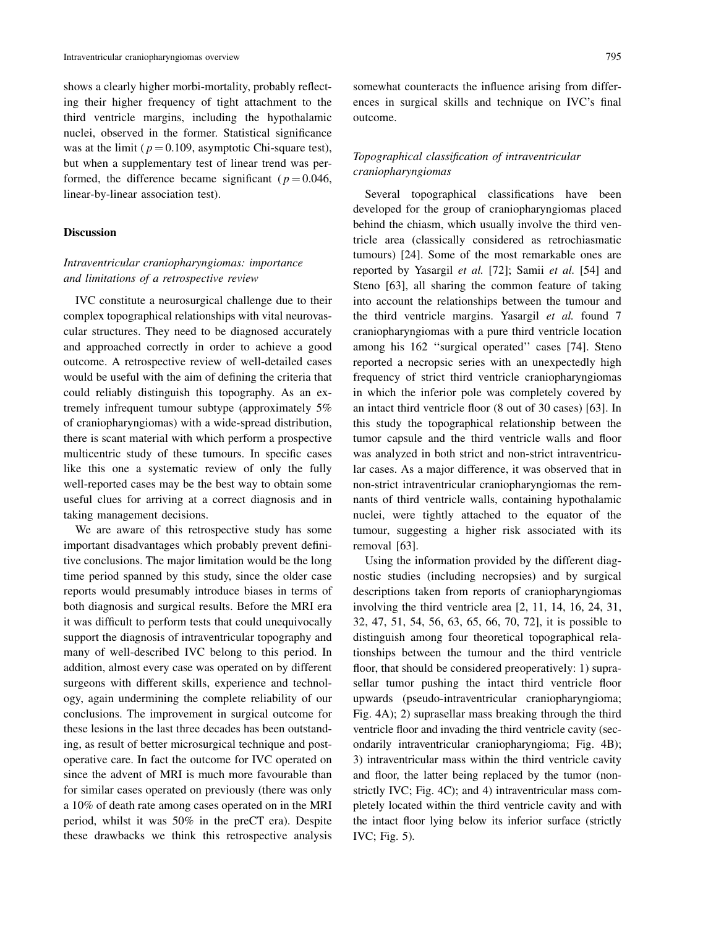shows a clearly higher morbi-mortality, probably reflecting their higher frequency of tight attachment to the third ventricle margins, including the hypothalamic nuclei, observed in the former. Statistical significance was at the limit ( $p = 0.109$ , asymptotic Chi-square test), but when a supplementary test of linear trend was performed, the difference became significant ( $p = 0.046$ , linear-by-linear association test).

### **Discussion**

## Intraventricular craniopharyngiomas: importance and limitations of a retrospective review

IVC constitute a neurosurgical challenge due to their complex topographical relationships with vital neurovascular structures. They need to be diagnosed accurately and approached correctly in order to achieve a good outcome. A retrospective review of well-detailed cases would be useful with the aim of defining the criteria that could reliably distinguish this topography. As an extremely infrequent tumour subtype (approximately 5% of craniopharyngiomas) with a wide-spread distribution, there is scant material with which perform a prospective multicentric study of these tumours. In specific cases like this one a systematic review of only the fully well-reported cases may be the best way to obtain some useful clues for arriving at a correct diagnosis and in taking management decisions.

We are aware of this retrospective study has some important disadvantages which probably prevent definitive conclusions. The major limitation would be the long time period spanned by this study, since the older case reports would presumably introduce biases in terms of both diagnosis and surgical results. Before the MRI era it was difficult to perform tests that could unequivocally support the diagnosis of intraventricular topography and many of well-described IVC belong to this period. In addition, almost every case was operated on by different surgeons with different skills, experience and technology, again undermining the complete reliability of our conclusions. The improvement in surgical outcome for these lesions in the last three decades has been outstanding, as result of better microsurgical technique and postoperative care. In fact the outcome for IVC operated on since the advent of MRI is much more favourable than for similar cases operated on previously (there was only a 10% of death rate among cases operated on in the MRI period, whilst it was 50% in the preCT era). Despite these drawbacks we think this retrospective analysis

somewhat counteracts the influence arising from differences in surgical skills and technique on IVC's final outcome.

## Topographical classification of intraventricular craniopharyngiomas

Several topographical classifications have been developed for the group of craniopharyngiomas placed behind the chiasm, which usually involve the third ventricle area (classically considered as retrochiasmatic tumours) [24]. Some of the most remarkable ones are reported by Yasargil et al. [72]; Samii et al. [54] and Steno [63], all sharing the common feature of taking into account the relationships between the tumour and the third ventricle margins. Yasargil et al. found 7 craniopharyngiomas with a pure third ventricle location among his 162 ''surgical operated'' cases [74]. Steno reported a necropsic series with an unexpectedly high frequency of strict third ventricle craniopharyngiomas in which the inferior pole was completely covered by an intact third ventricle floor (8 out of 30 cases) [63]. In this study the topographical relationship between the tumor capsule and the third ventricle walls and floor was analyzed in both strict and non-strict intraventricular cases. As a major difference, it was observed that in non-strict intraventricular craniopharyngiomas the remnants of third ventricle walls, containing hypothalamic nuclei, were tightly attached to the equator of the tumour, suggesting a higher risk associated with its removal [63].

Using the information provided by the different diagnostic studies (including necropsies) and by surgical descriptions taken from reports of craniopharyngiomas involving the third ventricle area [2, 11, 14, 16, 24, 31, 32, 47, 51, 54, 56, 63, 65, 66, 70, 72], it is possible to distinguish among four theoretical topographical relationships between the tumour and the third ventricle floor, that should be considered preoperatively: 1) suprasellar tumor pushing the intact third ventricle floor upwards (pseudo-intraventricular craniopharyngioma; Fig. 4A); 2) suprasellar mass breaking through the third ventricle floor and invading the third ventricle cavity (secondarily intraventricular craniopharyngioma; Fig. 4B); 3) intraventricular mass within the third ventricle cavity and floor, the latter being replaced by the tumor (nonstrictly IVC; Fig. 4C); and 4) intraventricular mass completely located within the third ventricle cavity and with the intact floor lying below its inferior surface (strictly IVC; Fig. 5).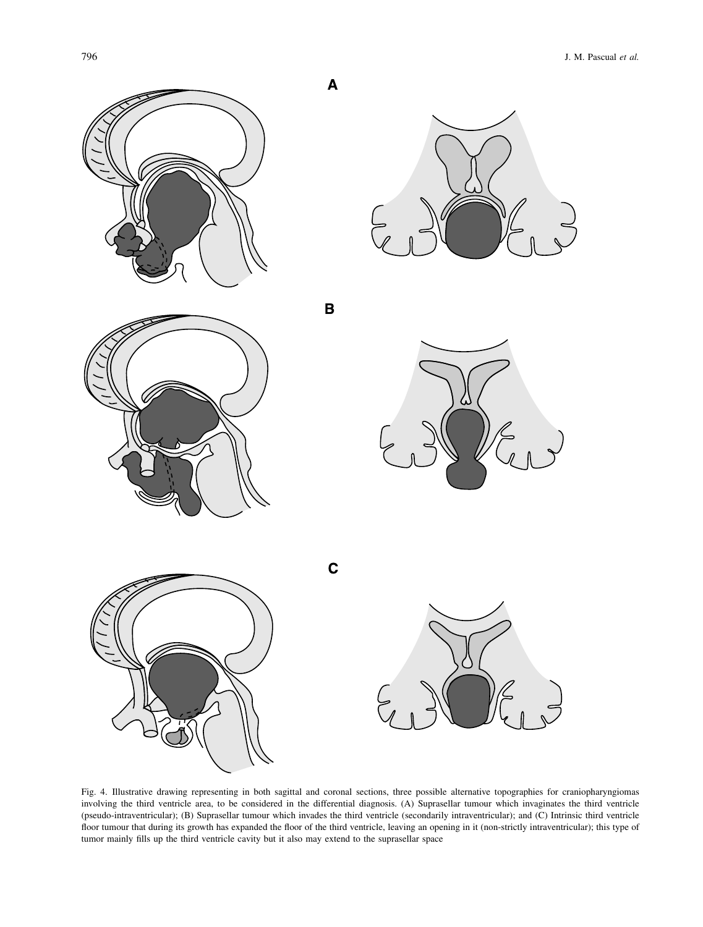

Fig. 4. Illustrative drawing representing in both sagittal and coronal sections, three possible alternative topographies for craniopharyngiomas involving the third ventricle area, to be considered in the differential diagnosis. (A) Suprasellar tumour which invaginates the third ventricle (pseudo-intraventricular); (B) Suprasellar tumour which invades the third ventricle (secondarily intraventricular); and (C) Intrinsic third ventricle floor tumour that during its growth has expanded the floor of the third ventricle, leaving an opening in it (non-strictly intraventricular); this type of tumor mainly fills up the third ventricle cavity but it also may extend to the suprasellar space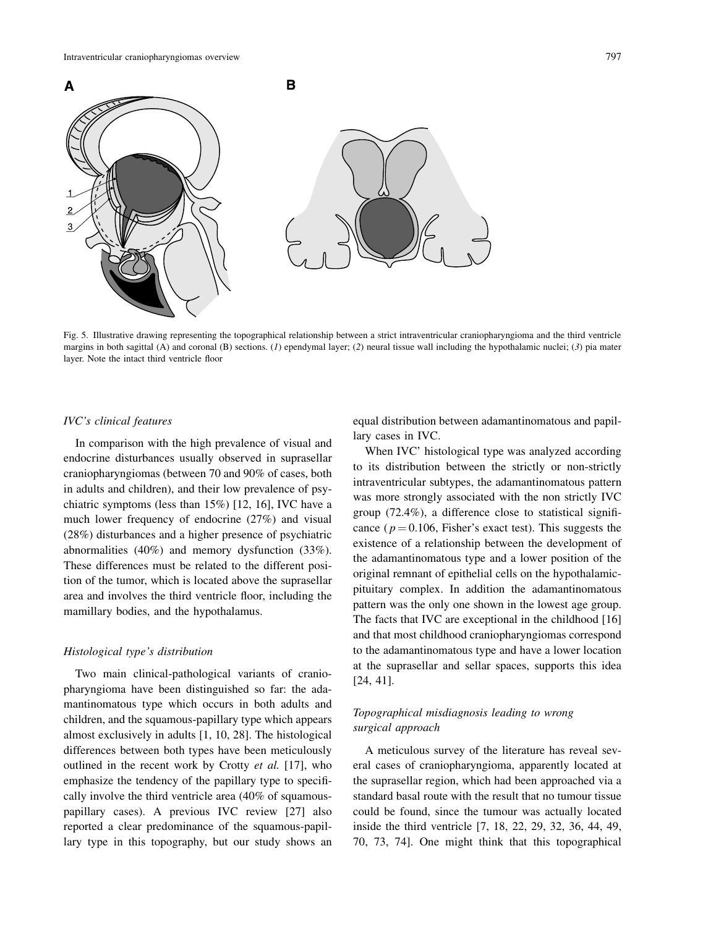

Fig. 5. Illustrative drawing representing the topographical relationship between a strict intraventricular craniopharyngioma and the third ventricle margins in both sagittal (A) and coronal (B) sections. (*I*) ependymal layer; (2) neural tissue wall including the hypothalamic nuclei; (3) pia mater layer. Note the intact third ventricle floor

#### IVC's clinical features

In comparison with the high prevalence of visual and endocrine disturbances usually observed in suprasellar craniopharyngiomas (between 70 and 90% of cases, both in adults and children), and their low prevalence of psychiatric symptoms (less than 15%) [12, 16], IVC have a much lower frequency of endocrine (27%) and visual (28%) disturbances and a higher presence of psychiatric abnormalities (40%) and memory dysfunction (33%). These differences must be related to the different position of the tumor, which is located above the suprasellar area and involves the third ventricle floor, including the mamillary bodies, and the hypothalamus.

#### Histological type's distribution

Two main clinical-pathological variants of craniopharyngioma have been distinguished so far: the adamantinomatous type which occurs in both adults and children, and the squamous-papillary type which appears almost exclusively in adults [1, 10, 28]. The histological differences between both types have been meticulously outlined in the recent work by Crotty et al. [17], who emphasize the tendency of the papillary type to specifically involve the third ventricle area (40% of squamouspapillary cases). A previous IVC review [27] also reported a clear predominance of the squamous-papillary type in this topography, but our study shows an equal distribution between adamantinomatous and papillary cases in IVC.

When IVC' histological type was analyzed according to its distribution between the strictly or non-strictly intraventricular subtypes, the adamantinomatous pattern was more strongly associated with the non strictly IVC group (72.4%), a difference close to statistical significance ( $p = 0.106$ , Fisher's exact test). This suggests the existence of a relationship between the development of the adamantinomatous type and a lower position of the original remnant of epithelial cells on the hypothalamicpituitary complex. In addition the adamantinomatous pattern was the only one shown in the lowest age group. The facts that IVC are exceptional in the childhood [16] and that most childhood craniopharyngiomas correspond to the adamantinomatous type and have a lower location at the suprasellar and sellar spaces, supports this idea [24, 41].

## Topographical misdiagnosis leading to wrong surgical approach

A meticulous survey of the literature has reveal several cases of craniopharyngioma, apparently located at the suprasellar region, which had been approached via a standard basal route with the result that no tumour tissue could be found, since the tumour was actually located inside the third ventricle [7, 18, 22, 29, 32, 36, 44, 49, 70, 73, 74]. One might think that this topographical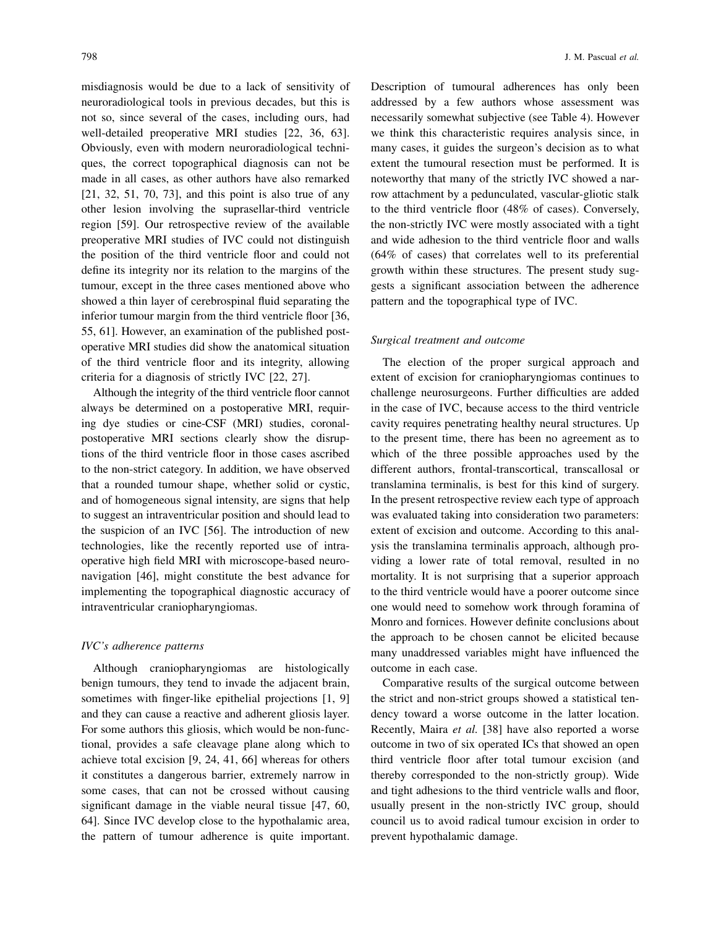misdiagnosis would be due to a lack of sensitivity of neuroradiological tools in previous decades, but this is not so, since several of the cases, including ours, had well-detailed preoperative MRI studies [22, 36, 63]. Obviously, even with modern neuroradiological techniques, the correct topographical diagnosis can not be made in all cases, as other authors have also remarked [21, 32, 51, 70, 73], and this point is also true of any other lesion involving the suprasellar-third ventricle region [59]. Our retrospective review of the available preoperative MRI studies of IVC could not distinguish the position of the third ventricle floor and could not define its integrity nor its relation to the margins of the tumour, except in the three cases mentioned above who showed a thin layer of cerebrospinal fluid separating the inferior tumour margin from the third ventricle floor [36, 55, 61]. However, an examination of the published postoperative MRI studies did show the anatomical situation of the third ventricle floor and its integrity, allowing criteria for a diagnosis of strictly IVC [22, 27].

Although the integrity of the third ventricle floor cannot always be determined on a postoperative MRI, requiring dye studies or cine-CSF (MRI) studies, coronalpostoperative MRI sections clearly show the disruptions of the third ventricle floor in those cases ascribed to the non-strict category. In addition, we have observed that a rounded tumour shape, whether solid or cystic, and of homogeneous signal intensity, are signs that help to suggest an intraventricular position and should lead to the suspicion of an IVC [56]. The introduction of new technologies, like the recently reported use of intraoperative high field MRI with microscope-based neuronavigation [46], might constitute the best advance for implementing the topographical diagnostic accuracy of intraventricular craniopharyngiomas.

#### IVC's adherence patterns

Although craniopharyngiomas are histologically benign tumours, they tend to invade the adjacent brain, sometimes with finger-like epithelial projections [1, 9] and they can cause a reactive and adherent gliosis layer. For some authors this gliosis, which would be non-functional, provides a safe cleavage plane along which to achieve total excision [9, 24, 41, 66] whereas for others it constitutes a dangerous barrier, extremely narrow in some cases, that can not be crossed without causing significant damage in the viable neural tissue [47, 60, 64]. Since IVC develop close to the hypothalamic area, the pattern of tumour adherence is quite important.

Description of tumoural adherences has only been addressed by a few authors whose assessment was necessarily somewhat subjective (see Table 4). However we think this characteristic requires analysis since, in many cases, it guides the surgeon's decision as to what extent the tumoural resection must be performed. It is noteworthy that many of the strictly IVC showed a narrow attachment by a pedunculated, vascular-gliotic stalk to the third ventricle floor (48% of cases). Conversely, the non-strictly IVC were mostly associated with a tight and wide adhesion to the third ventricle floor and walls (64% of cases) that correlates well to its preferential growth within these structures. The present study suggests a significant association between the adherence pattern and the topographical type of IVC.

## Surgical treatment and outcome

The election of the proper surgical approach and extent of excision for craniopharyngiomas continues to challenge neurosurgeons. Further difficulties are added in the case of IVC, because access to the third ventricle cavity requires penetrating healthy neural structures. Up to the present time, there has been no agreement as to which of the three possible approaches used by the different authors, frontal-transcortical, transcallosal or translamina terminalis, is best for this kind of surgery. In the present retrospective review each type of approach was evaluated taking into consideration two parameters: extent of excision and outcome. According to this analysis the translamina terminalis approach, although providing a lower rate of total removal, resulted in no mortality. It is not surprising that a superior approach to the third ventricle would have a poorer outcome since one would need to somehow work through foramina of Monro and fornices. However definite conclusions about the approach to be chosen cannot be elicited because many unaddressed variables might have influenced the outcome in each case.

Comparative results of the surgical outcome between the strict and non-strict groups showed a statistical tendency toward a worse outcome in the latter location. Recently, Maira et al. [38] have also reported a worse outcome in two of six operated ICs that showed an open third ventricle floor after total tumour excision (and thereby corresponded to the non-strictly group). Wide and tight adhesions to the third ventricle walls and floor, usually present in the non-strictly IVC group, should council us to avoid radical tumour excision in order to prevent hypothalamic damage.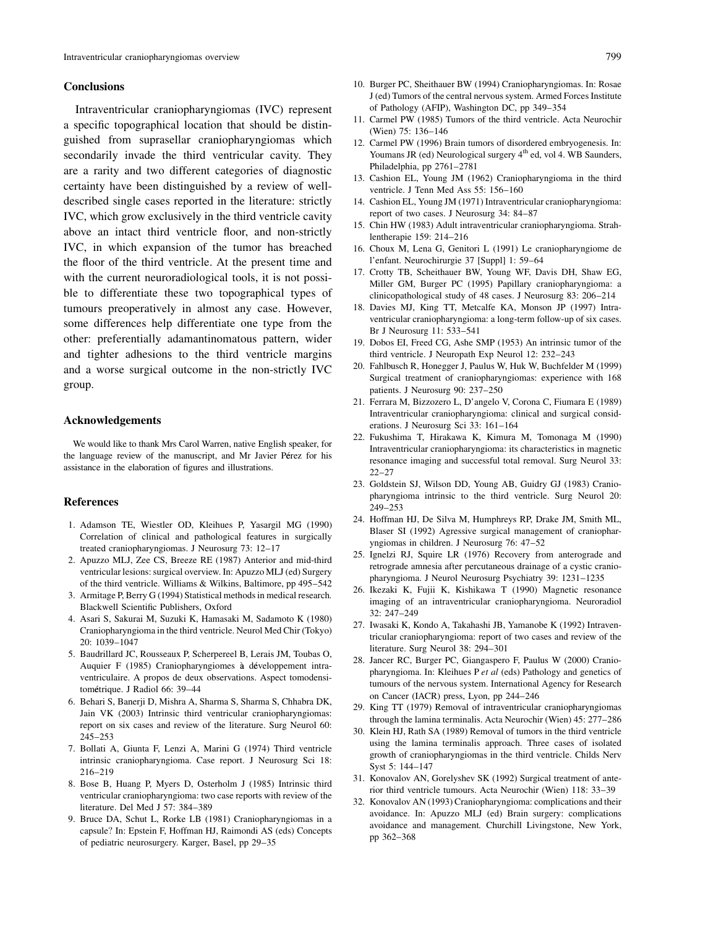## **Conclusions**

Intraventricular craniopharyngiomas (IVC) represent a specific topographical location that should be distinguished from suprasellar craniopharyngiomas which secondarily invade the third ventricular cavity. They are a rarity and two different categories of diagnostic certainty have been distinguished by a review of welldescribed single cases reported in the literature: strictly IVC, which grow exclusively in the third ventricle cavity above an intact third ventricle floor, and non-strictly IVC, in which expansion of the tumor has breached the floor of the third ventricle. At the present time and with the current neuroradiological tools, it is not possible to differentiate these two topographical types of tumours preoperatively in almost any case. However, some differences help differentiate one type from the other: preferentially adamantinomatous pattern, wider and tighter adhesions to the third ventricle margins and a worse surgical outcome in the non-strictly IVC group.

#### Acknowledgements

We would like to thank Mrs Carol Warren, native English speaker, for the language review of the manuscript, and Mr Javier Pérez for his assistance in the elaboration of figures and illustrations.

## References

- 1. Adamson TE, Wiestler OD, Kleihues P, Yasargil MG (1990) Correlation of clinical and pathological features in surgically treated craniopharyngiomas. J Neurosurg 73: 12–17
- 2. Apuzzo MLJ, Zee CS, Breeze RE (1987) Anterior and mid-third ventricular lesions: surgical overview. In: Apuzzo MLJ (ed) Surgery of the third ventricle. Williams & Wilkins, Baltimore, pp 495–542
- 3. Armitage P, Berry G (1994) Statistical methods in medical research. Blackwell Scientific Publishers, Oxford
- 4. Asari S, Sakurai M, Suzuki K, Hamasaki M, Sadamoto K (1980) Craniopharyngioma in the third ventricle. Neurol Med Chir (Tokyo) 20: 1039–1047
- 5. Baudrillard JC, Rousseaux P, Scherpereel B, Lerais JM, Toubas O, Auquier F (1985) Craniopharyngiomes à développement intraventriculaire. A propos de deux observations. Aspect tomodensitométrique. J Radiol 66: 39-44
- 6. Behari S, Banerji D, Mishra A, Sharma S, Sharma S, Chhabra DK, Jain VK (2003) Intrinsic third ventricular craniopharyngiomas: report on six cases and review of the literature. Surg Neurol 60: 245–253
- 7. Bollati A, Giunta F, Lenzi A, Marini G (1974) Third ventricle intrinsic craniopharyngioma. Case report. J Neurosurg Sci 18: 216–219
- 8. Bose B, Huang P, Myers D, Osterholm J (1985) Intrinsic third ventricular craniopharyngioma: two case reports with review of the literature. Del Med J 57: 384–389
- 9. Bruce DA, Schut L, Rorke LB (1981) Craniopharyngiomas in a capsule? In: Epstein F, Hoffman HJ, Raimondi AS (eds) Concepts of pediatric neurosurgery. Karger, Basel, pp 29–35
- 10. Burger PC, Sheithauer BW (1994) Craniopharyngiomas. In: Rosae J (ed) Tumors of the central nervous system. Armed Forces Institute of Pathology (AFIP), Washington DC, pp 349–354
- 11. Carmel PW (1985) Tumors of the third ventricle. Acta Neurochir (Wien) 75: 136–146
- 12. Carmel PW (1996) Brain tumors of disordered embryogenesis. In: Youmans JR (ed) Neurological surgery  $4<sup>th</sup>$  ed, vol 4. WB Saunders, Philadelphia, pp 2761–2781
- 13. Cashion EL, Young JM (1962) Craniopharyngioma in the third ventricle. J Tenn Med Ass 55: 156–160
- 14. Cashion EL, Young JM (1971) Intraventricular craniopharyngioma: report of two cases. J Neurosurg 34: 84–87
- 15. Chin HW (1983) Adult intraventricular craniopharyngioma. Strahlentherapie 159: 214–216
- 16. Choux M, Lena G, Genitori L (1991) Le craniopharyngiome de l'enfant. Neurochirurgie 37 [Suppl] 1: 59–64
- 17. Crotty TB, Scheithauer BW, Young WF, Davis DH, Shaw EG, Miller GM, Burger PC (1995) Papillary craniopharyngioma: a clinicopathological study of 48 cases. J Neurosurg 83: 206–214
- 18. Davies MJ, King TT, Metcalfe KA, Monson JP (1997) Intraventricular craniopharyngioma: a long-term follow-up of six cases. Br J Neurosurg 11: 533–541
- 19. Dobos EI, Freed CG, Ashe SMP (1953) An intrinsic tumor of the third ventricle. J Neuropath Exp Neurol 12: 232–243
- 20. Fahlbusch R, Honegger J, Paulus W, Huk W, Buchfelder M (1999) Surgical treatment of craniopharyngiomas: experience with 168 patients. J Neurosurg 90: 237–250
- 21. Ferrara M, Bizzozero L, D'angelo V, Corona C, Fiumara E (1989) Intraventricular craniopharyngioma: clinical and surgical considerations. J Neurosurg Sci 33: 161–164
- 22. Fukushima T, Hirakawa K, Kimura M, Tomonaga M (1990) Intraventricular craniopharyngioma: its characteristics in magnetic resonance imaging and successful total removal. Surg Neurol 33: 22–27
- 23. Goldstein SJ, Wilson DD, Young AB, Guidry GJ (1983) Craniopharyngioma intrinsic to the third ventricle. Surg Neurol 20: 249–253
- 24. Hoffman HJ, De Silva M, Humphreys RP, Drake JM, Smith ML, Blaser SI (1992) Agressive surgical management of craniopharyngiomas in children. J Neurosurg 76: 47–52
- 25. Ignelzi RJ, Squire LR (1976) Recovery from anterograde and retrograde amnesia after percutaneous drainage of a cystic craniopharyngioma. J Neurol Neurosurg Psychiatry 39: 1231–1235
- 26. Ikezaki K, Fujii K, Kishikawa T (1990) Magnetic resonance imaging of an intraventricular craniopharyngioma. Neuroradiol 32: 247–249
- 27. Iwasaki K, Kondo A, Takahashi JB, Yamanobe K (1992) Intraventricular craniopharyngioma: report of two cases and review of the literature. Surg Neurol 38: 294–301
- 28. Jancer RC, Burger PC, Giangaspero F, Paulus W (2000) Craniopharyngioma. In: Kleihues P et al (eds) Pathology and genetics of tumours of the nervous system. International Agency for Research on Cancer (IACR) press, Lyon, pp 244–246
- 29. King TT (1979) Removal of intraventricular craniopharyngiomas through the lamina terminalis. Acta Neurochir (Wien) 45: 277–286
- 30. Klein HJ, Rath SA (1989) Removal of tumors in the third ventricle using the lamina terminalis approach. Three cases of isolated growth of craniopharyngiomas in the third ventricle. Childs Nerv Syst 5: 144–147
- 31. Konovalov AN, Gorelyshev SK (1992) Surgical treatment of anterior third ventricle tumours. Acta Neurochir (Wien) 118: 33–39
- 32. Konovalov AN (1993) Craniopharyngioma: complications and their avoidance. In: Apuzzo MLJ (ed) Brain surgery: complications avoidance and management. Churchill Livingstone, New York, pp 362–368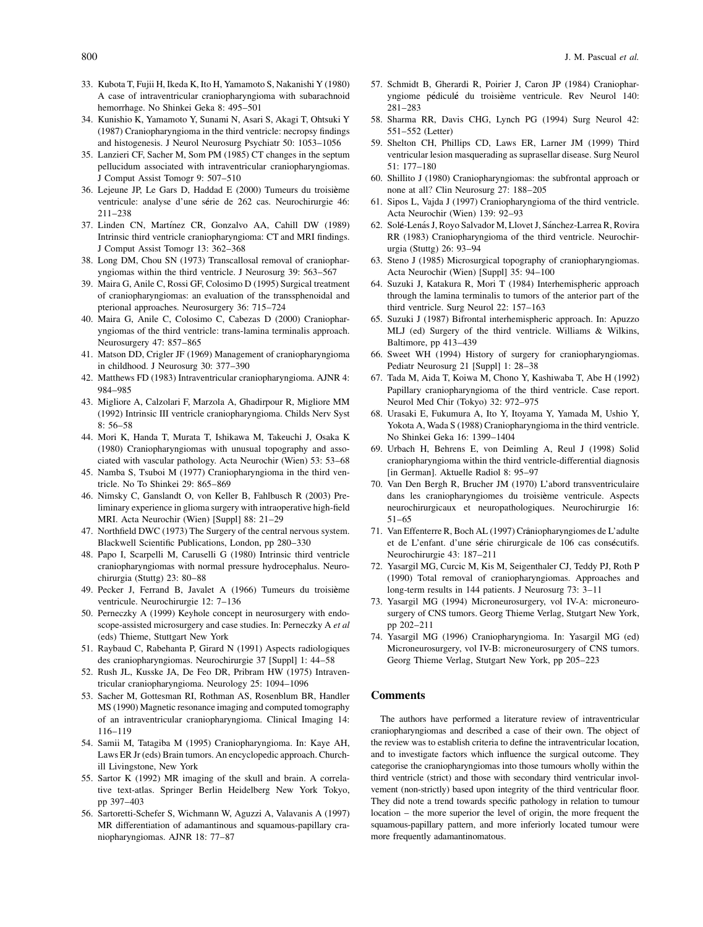- 33. Kubota T, Fujii H, Ikeda K, Ito H, Yamamoto S, Nakanishi Y (1980) A case of intraventricular craniopharyngioma with subarachnoid hemorrhage. No Shinkei Geka 8: 495–501
- 34. Kunishio K, Yamamoto Y, Sunami N, Asari S, Akagi T, Ohtsuki Y (1987) Craniopharyngioma in the third ventricle: necropsy findings and histogenesis. J Neurol Neurosurg Psychiatr 50: 1053-1056
- 35. Lanzieri CF, Sacher M, Som PM (1985) CT changes in the septum pellucidum associated with intraventricular craniopharyngiomas. J Comput Assist Tomogr 9: 507–510
- 36. Lejeune JP, Le Gars D, Haddad E (2000) Tumeurs du troisième ventricule: analyse d'une série de 262 cas. Neurochirurgie 46: 211–238
- 37. Linden CN, Martínez CR, Gonzalvo AA, Cahill DW (1989) Intrinsic third ventricle craniopharyngioma: CT and MRI findings. J Comput Assist Tomogr 13: 362–368
- 38. Long DM, Chou SN (1973) Transcallosal removal of craniopharyngiomas within the third ventricle. J Neurosurg 39: 563–567
- 39. Maira G, Anile C, Rossi GF, Colosimo D (1995) Surgical treatment of craniopharyngiomas: an evaluation of the transsphenoidal and pterional approaches. Neurosurgery 36: 715–724
- 40. Maira G, Anile C, Colosimo C, Cabezas D (2000) Craniopharyngiomas of the third ventricle: trans-lamina terminalis approach. Neurosurgery 47: 857–865
- 41. Matson DD, Crigler JF (1969) Management of craniopharyngioma in childhood. J Neurosurg 30: 377–390
- 42. Matthews FD (1983) Intraventricular craniopharyngioma. AJNR 4: 984–985
- 43. Migliore A, Calzolari F, Marzola A, Ghadirpour R, Migliore MM (1992) Intrinsic III ventricle craniopharyngioma. Childs Nerv Syst 8: 56–58
- 44. Mori K, Handa T, Murata T, Ishikawa M, Takeuchi J, Osaka K (1980) Craniopharyngiomas with unusual topography and associated with vascular pathology. Acta Neurochir (Wien) 53: 53–68
- 45. Namba S, Tsuboi M (1977) Craniopharyngioma in the third ventricle. No To Shinkei 29: 865–869
- 46. Nimsky C, Ganslandt O, von Keller B, Fahlbusch R (2003) Preliminary experience in glioma surgery with intraoperative high-field MRI. Acta Neurochir (Wien) [Suppl] 88: 21–29
- 47. Northfield DWC (1973) The Surgery of the central nervous system. Blackwell Scientific Publications, London, pp 280–330
- 48. Papo I, Scarpelli M, Caruselli G (1980) Intrinsic third ventricle craniopharyngiomas with normal pressure hydrocephalus. Neurochirurgia (Stuttg) 23: 80–88
- 49. Pecker J, Ferrand B, Javalet A (1966) Tumeurs du troisième ventricule. Neurochirurgie 12: 7–136
- 50. Perneczky A (1999) Keyhole concept in neurosurgery with endoscope-assisted microsurgery and case studies. In: Perneczky A et al (eds) Thieme, Stuttgart New York
- 51. Raybaud C, Rabehanta P, Girard N (1991) Aspects radiologiques des craniopharyngiomas. Neurochirurgie 37 [Suppl] 1: 44–58
- 52. Rush JL, Kusske JA, De Feo DR, Pribram HW (1975) Intraventricular craniopharyngioma. Neurology 25: 1094–1096
- 53. Sacher M, Gottesman RI, Rothman AS, Rosenblum BR, Handler MS (1990) Magnetic resonance imaging and computed tomography of an intraventricular craniopharyngioma. Clinical Imaging 14: 116–119
- 54. Samii M, Tatagiba M (1995) Craniopharyngioma. In: Kaye AH, Laws ER Jr (eds) Brain tumors. An encyclopedic approach. Churchill Livingstone, New York
- 55. Sartor K (1992) MR imaging of the skull and brain. A correlative text-atlas. Springer Berlin Heidelberg New York Tokyo, pp 397–403
- 56. Sartoretti-Schefer S, Wichmann W, Aguzzi A, Valavanis A (1997) MR differentiation of adamantinous and squamous-papillary craniopharyngiomas. AJNR 18: 77–87
- 57. Schmidt B, Gherardi R, Poirier J, Caron JP (1984) Craniopharyngiome pédiculé du troisième ventricule. Rev Neurol 140: 281–283
- 58. Sharma RR, Davis CHG, Lynch PG (1994) Surg Neurol 42: 551–552 (Letter)
- 59. Shelton CH, Phillips CD, Laws ER, Larner JM (1999) Third ventricular lesion masquerading as suprasellar disease. Surg Neurol 51: 177–180
- 60. Shillito J (1980) Craniopharyngiomas: the subfrontal approach or none at all? Clin Neurosurg 27: 188–205
- 61. Sipos L, Vajda J (1997) Craniopharyngioma of the third ventricle. Acta Neurochir (Wien) 139: 92–93
- 62. Solé-Lenás J, Royo Salvador M, Llovet J, Sánchez-Larrea R, Rovira RR (1983) Craniopharyngioma of the third ventricle. Neurochirurgia (Stuttg) 26: 93–94
- 63. Steno J (1985) Microsurgical topography of craniopharyngiomas. Acta Neurochir (Wien) [Suppl] 35: 94–100
- 64. Suzuki J, Katakura R, Mori T (1984) Interhemispheric approach through the lamina terminalis to tumors of the anterior part of the third ventricle. Surg Neurol 22: 157–163
- 65. Suzuki J (1987) Bifrontal interhemispheric approach. In: Apuzzo MLJ (ed) Surgery of the third ventricle. Williams & Wilkins, Baltimore, pp 413–439
- 66. Sweet WH (1994) History of surgery for craniopharyngiomas. Pediatr Neurosurg 21 [Suppl] 1: 28–38
- 67. Tada M, Aida T, Koiwa M, Chono Y, Kashiwaba T, Abe H (1992) Papillary craniopharyngioma of the third ventricle. Case report. Neurol Med Chir (Tokyo) 32: 972–975
- 68. Urasaki E, Fukumura A, Ito Y, Itoyama Y, Yamada M, Ushio Y, Yokota A, Wada S (1988) Craniopharyngioma in the third ventricle. No Shinkei Geka 16: 1399–1404
- 69. Urbach H, Behrens E, von Deimling A, Reul J (1998) Solid craniopharyngioma within the third ventricle-differential diagnosis [in German]. Aktuelle Radiol 8: 95–97
- 70. Van Den Bergh R, Brucher JM (1970) L'abord transventriculaire dans les craniopharyngiomes du troisième ventricule. Aspects neurochirurgicaux et neuropathologiques. Neurochirurgie 16: 51–65
- 71. Van Effenterre R, Boch AL (1997) Crâniopharyngiomes de L'adulte et de L'enfant. d'une série chirurgicale de 106 cas consécutifs. Neurochirurgie 43: 187–211
- 72. Yasargil MG, Curcic M, Kis M, Seigenthaler CJ, Teddy PJ, Roth P (1990) Total removal of craniopharyngiomas. Approaches and long-term results in 144 patients. J Neurosurg 73: 3–11
- 73. Yasargil MG (1994) Microneurosurgery, vol IV-A: microneurosurgery of CNS tumors. Georg Thieme Verlag, Stutgart New York, pp 202–211
- 74. Yasargil MG (1996) Craniopharyngioma. In: Yasargil MG (ed) Microneurosurgery, vol IV-B: microneurosurgery of CNS tumors. Georg Thieme Verlag, Stutgart New York, pp 205–223

#### Comments

The authors have performed a literature review of intraventricular craniopharyngiomas and described a case of their own. The object of the review was to establish criteria to define the intraventricular location, and to investigate factors which influence the surgical outcome. They categorise the craniopharyngiomas into those tumours wholly within the third ventricle (strict) and those with secondary third ventricular involvement (non-strictly) based upon integrity of the third ventricular floor. They did note a trend towards specific pathology in relation to tumour location – the more superior the level of origin, the more frequent the squamous-papillary pattern, and more inferiorly located tumour were more frequently adamantinomatous.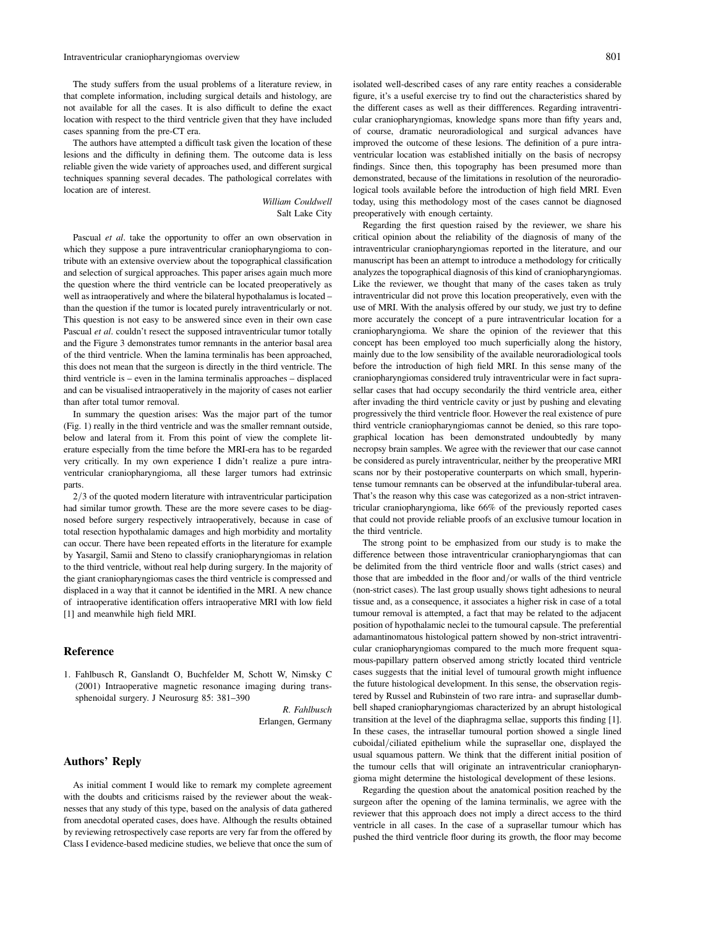The study suffers from the usual problems of a literature review, in that complete information, including surgical details and histology, are not available for all the cases. It is also difficult to define the exact location with respect to the third ventricle given that they have included cases spanning from the pre-CT era.

The authors have attempted a difficult task given the location of these lesions and the difficulty in defining them. The outcome data is less reliable given the wide variety of approaches used, and different surgical techniques spanning several decades. The pathological correlates with location are of interest.

#### William Couldwell Salt Lake City

Pascual et al. take the opportunity to offer an own observation in which they suppose a pure intraventricular craniopharyngioma to contribute with an extensive overview about the topographical classification and selection of surgical approaches. This paper arises again much more the question where the third ventricle can be located preoperatively as well as intraoperatively and where the bilateral hypothalamus is located – than the question if the tumor is located purely intraventricularly or not. This question is not easy to be answered since even in their own case Pascual et al. couldn't resect the supposed intraventricular tumor totally and the Figure 3 demonstrates tumor remnants in the anterior basal area of the third ventricle. When the lamina terminalis has been approached, this does not mean that the surgeon is directly in the third ventricle. The third ventricle is – even in the lamina terminalis approaches – displaced and can be visualised intraoperatively in the majority of cases not earlier than after total tumor removal.

In summary the question arises: Was the major part of the tumor (Fig. 1) really in the third ventricle and was the smaller remnant outside, below and lateral from it. From this point of view the complete literature especially from the time before the MRI-era has to be regarded very critically. In my own experience I didn't realize a pure intraventricular craniopharyngioma, all these larger tumors had extrinsic parts

 $2/3$  of the quoted modern literature with intraventricular participation had similar tumor growth. These are the more severe cases to be diagnosed before surgery respectively intraoperatively, because in case of total resection hypothalamic damages and high morbidity and mortality can occur. There have been repeated efforts in the literature for example by Yasargil, Samii and Steno to classify craniopharyngiomas in relation to the third ventricle, without real help during surgery. In the majority of the giant craniopharyngiomas cases the third ventricle is compressed and displaced in a way that it cannot be identified in the MRI. A new chance of intraoperative identification offers intraoperative MRI with low field [1] and meanwhile high field MRI.

#### Reference

1. Fahlbusch R, Ganslandt O, Buchfelder M, Schott W, Nimsky C (2001) Intraoperative magnetic resonance imaging during transsphenoidal surgery. J Neurosurg 85: 381–390

> R. Fahlbusch Erlangen, Germany

#### Authors' Reply

As initial comment I would like to remark my complete agreement with the doubts and criticisms raised by the reviewer about the weaknesses that any study of this type, based on the analysis of data gathered from anecdotal operated cases, does have. Although the results obtained by reviewing retrospectively case reports are very far from the offered by Class I evidence-based medicine studies, we believe that once the sum of

isolated well-described cases of any rare entity reaches a considerable figure, it's a useful exercise try to find out the characteristics shared by the different cases as well as their diffferences. Regarding intraventricular craniopharyngiomas, knowledge spans more than fifty years and, of course, dramatic neuroradiological and surgical advances have improved the outcome of these lesions. The definition of a pure intraventricular location was established initially on the basis of necropsy findings. Since then, this topography has been presumed more than demonstrated, because of the limitations in resolution of the neuroradio-

logical tools available before the introduction of high field MRI. Even today, using this methodology most of the cases cannot be diagnosed

preoperatively with enough certainty. Regarding the first question raised by the reviewer, we share his critical opinion about the reliability of the diagnosis of many of the intraventricular craniopharyngiomas reported in the literature, and our manuscript has been an attempt to introduce a methodology for critically analyzes the topographical diagnosis of this kind of craniopharyngiomas. Like the reviewer, we thought that many of the cases taken as truly intraventricular did not prove this location preoperatively, even with the use of MRI. With the analysis offered by our study, we just try to define more accurately the concept of a pure intraventricular location for a craniopharyngioma. We share the opinion of the reviewer that this concept has been employed too much superficially along the history, mainly due to the low sensibility of the available neuroradiological tools before the introduction of high field MRI. In this sense many of the craniopharyngiomas considered truly intraventricular were in fact suprasellar cases that had occupy secondarily the third ventricle area, either after invading the third ventricle cavity or just by pushing and elevating progressively the third ventricle floor. However the real existence of pure third ventricle craniopharyngiomas cannot be denied, so this rare topographical location has been demonstrated undoubtedly by many necropsy brain samples. We agree with the reviewer that our case cannot be considered as purely intraventricular, neither by the preoperative MRI scans nor by their postoperative counterparts on which small, hyperintense tumour remnants can be observed at the infundibular-tuberal area. That's the reason why this case was categorized as a non-strict intraventricular craniopharyngioma, like 66% of the previously reported cases that could not provide reliable proofs of an exclusive tumour location in the third ventricle.

The strong point to be emphasized from our study is to make the difference between those intraventricular craniopharyngiomas that can be delimited from the third ventricle floor and walls (strict cases) and those that are imbedded in the floor and/or walls of the third ventricle (non-strict cases). The last group usually shows tight adhesions to neural tissue and, as a consequence, it associates a higher risk in case of a total tumour removal is attempted, a fact that may be related to the adjacent position of hypothalamic neclei to the tumoural capsule. The preferential adamantinomatous histological pattern showed by non-strict intraventricular craniopharyngiomas compared to the much more frequent squamous-papillary pattern observed among strictly located third ventricle cases suggests that the initial level of tumoural growth might influence the future histological development. In this sense, the observation registered by Russel and Rubinstein of two rare intra- and suprasellar dumbbell shaped craniopharyngiomas characterized by an abrupt histological transition at the level of the diaphragma sellae, supports this finding [1]. In these cases, the intrasellar tumoural portion showed a single lined cuboidal/ciliated epithelium while the suprasellar one, displayed the usual squamous pattern. We think that the different initial position of the tumour cells that will originate an intraventricular craniopharyngioma might determine the histological development of these lesions.

Regarding the question about the anatomical position reached by the surgeon after the opening of the lamina terminalis, we agree with the reviewer that this approach does not imply a direct access to the third ventricle in all cases. In the case of a suprasellar tumour which has pushed the third ventricle floor during its growth, the floor may become